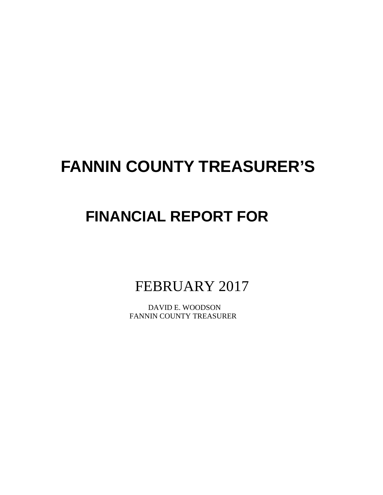# **FANNIN COUNTY TREASURER'S**

## **FINANCIAL REPORT FOR**

FEBRUARY 2017

 DAVID E. WOODSON FANNIN COUNTY TREASURER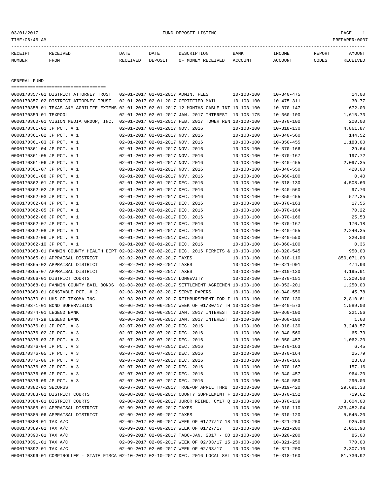## 03/01/2017 FUND DEPOSIT LISTING PAGE 1

| RECEIPT | <b>RECEIVED</b> | DATE            | DATE    | DE SCRIPTIONI     | <b>BANK</b> | <b>NCOME</b> | REPORT | MOUNT    |
|---------|-----------------|-----------------|---------|-------------------|-------------|--------------|--------|----------|
| NUMBER  | FROM            | <b>RECEIVED</b> | DEPOSIT | OF MONEY RECEIVED | ACCOUNT     | ACCOUNT      | CODES  | RECEIVED |
|         |                 |                 |         |                   |             |              |        |          |

GENERAL FUND

| ====================================                                                         |                                 |                                                              |                  |                                      |             |
|----------------------------------------------------------------------------------------------|---------------------------------|--------------------------------------------------------------|------------------|--------------------------------------|-------------|
| 0000170357-01 DISTRICT ATTORNEY TRUST                                                        |                                 | 02-01-2017 02-01-2017 ADMIN. FEES                            | $10 - 103 - 100$ | $10 - 340 - 475$                     | 14.00       |
| 0000170357-02 DISTRICT ATTORNEY TRUST                                                        |                                 | 02-01-2017 02-01-2017 CERTIFIED MAIL                         | $10 - 103 - 100$ | $10 - 475 - 311$                     | 30.77       |
| 0000170358-01 TEXAS A&M AGRILIFE EXTENS 02-01-2017 02-01-2017 12 MONTHS CABLE INT 10-103-100 |                                 |                                                              |                  | $10 - 370 - 147$                     | 672.00      |
| 0000170359-01 TEXPOOL                                                                        |                                 | 02-01-2017 02-01-2017 JAN. 2017 INTEREST                     | 10-103-175       | $10 - 360 - 100$                     | 1,615.73    |
| 0000170360-01 VISION MEDIA GROUP, INC.                                                       |                                 | 02-01-2017 02-01-2017 FEB. 2017 TOWER REN 10-103-100         |                  | $10 - 370 - 100$                     | 200.00      |
| 0000170361-01 JP PCT. # 1                                                                    | 02-01-2017 02-01-2017 NOV. 2016 |                                                              | $10 - 103 - 100$ | $10 - 318 - 130$                     | 4,861.87    |
| 0000170361-02 JP PCT. # 1                                                                    | 02-01-2017 02-01-2017 NOV. 2016 |                                                              | $10 - 103 - 100$ | $10 - 340 - 560$                     | 144.52      |
| 0000170361-03 JP PCT. # 1                                                                    | 02-01-2017 02-01-2017 NOV. 2016 |                                                              | $10 - 103 - 100$ | $10 - 350 - 455$                     | 1,183.00    |
| 0000170361-04 JP PCT. # 1                                                                    | 02-01-2017 02-01-2017 NOV. 2016 |                                                              | $10 - 103 - 100$ | $10 - 370 - 166$                     | 29.64       |
| 0000170361-05 JP PCT. # 1                                                                    | 02-01-2017 02-01-2017 NOV. 2016 |                                                              | $10 - 103 - 100$ | $10 - 370 - 167$                     | 197.72      |
| 0000170361-06 JP PCT. # 1                                                                    | 02-01-2017 02-01-2017 NOV. 2016 |                                                              | $10 - 103 - 100$ | $10 - 340 - 455$                     | 2,097.35    |
| 0000170361-07 JP PCT. # 1                                                                    | 02-01-2017 02-01-2017 NOV. 2016 |                                                              | $10 - 103 - 100$ | $10 - 340 - 550$                     | 420.00      |
| 0000170361-08 JP PCT. # 1                                                                    | 02-01-2017 02-01-2017 NOV. 2016 |                                                              | $10 - 103 - 100$ | $10 - 360 - 100$                     | 0.40        |
| 0000170362-01 JP PCT. # 1                                                                    | 02-01-2017 02-01-2017 DEC. 2016 |                                                              | $10 - 103 - 100$ | $10 - 318 - 130$                     | 4,508.60    |
| 0000170362-02 JP PCT. # 1                                                                    | 02-01-2017 02-01-2017 DEC. 2016 |                                                              | $10 - 103 - 100$ | $10 - 340 - 560$                     | 97.70       |
| 0000170362-03 JP PCT. # 1                                                                    | 02-01-2017 02-01-2017 DEC. 2016 |                                                              | $10 - 103 - 100$ | $10 - 350 - 455$                     | 572.35      |
| 0000170362-04 JP PCT. # 1                                                                    | 02-01-2017 02-01-2017 DEC. 2016 |                                                              | $10 - 103 - 100$ | $10 - 370 - 163$                     | 17.55       |
| 0000170362-05 JP PCT. # 1                                                                    | 02-01-2017 02-01-2017 DEC. 2016 |                                                              | $10 - 103 - 100$ | $10 - 370 - 164$                     | 70.22       |
| 0000170362-06 JP PCT. # 1                                                                    | 02-01-2017 02-01-2017 DEC. 2016 |                                                              | 10-103-100       | $10 - 370 - 166$                     | 25.53       |
| 0000170362-07 JP PCT. # 1                                                                    | 02-01-2017 02-01-2017 DEC. 2016 |                                                              | $10 - 103 - 100$ | $10 - 370 - 167$                     | 170.18      |
| 0000170362-08 JP PCT. # 1                                                                    | 02-01-2017 02-01-2017 DEC. 2016 |                                                              | $10 - 103 - 100$ | $10 - 340 - 455$                     | 2,240.35    |
| 0000170362-09 JP PCT. # 1                                                                    | 02-01-2017 02-01-2017 DEC. 2016 |                                                              | $10 - 103 - 100$ | $10 - 340 - 550$                     | 320.00      |
| 0000170362-10 JP PCT. # 1                                                                    | 02-01-2017 02-01-2017 DEC. 2016 |                                                              | $10 - 103 - 100$ | $10 - 360 - 100$                     | 0.36        |
| 0000170363-01 FANNIN COUNTY HEALTH DEPT 02-02-2017 02-02-2017 DEC. 2016 PERMITS & 10-103-100 |                                 |                                                              |                  | $10 - 320 - 545$                     | 950.00      |
| 0000170365-01 APPRAISAL DISTRICT                                                             | 02-02-2017 02-02-2017 TAXES     |                                                              | $10 - 103 - 100$ | $10 - 310 - 110$                     | 850,071.00  |
| 0000170365-02 APPRAISAL DISTRICT                                                             | 02-02-2017 02-02-2017 TAXES     |                                                              | $10 - 103 - 100$ | $10 - 321 - 901$                     | 474.90      |
| 0000170365-07 APPRAISAL DISTRICT                                                             | 02-02-2017 02-02-2017 TAXES     |                                                              | $10 - 103 - 100$ | $10 - 310 - 120$                     | 4,195.91    |
| 0000170366-01 DISTRICT COURTS                                                                | 02-03-2017 02-03-2017 LONGEVITY |                                                              | $10 - 103 - 100$ | $10 - 370 - 151$                     | 1,200.00    |
| 0000170368-01 FANNIN COUNTY BAIL BONDS                                                       |                                 | 02-03-2017 02-03-2017 SETTLEMENT AGREEMEN 10-103-100         |                  | $10 - 352 - 201$                     | 1,250.00    |
| 0000170369-01 CONSTABLE PCT. # 2                                                             |                                 | 02-03-2017 02-03-2017 SERVE PAPERS                           | 10-103-100       | $10 - 340 - 550$                     | 45.78       |
| 0000170370-01 UHS OF TEXOMA INC.                                                             |                                 | 02-03-2017 02-03-2017 REIMBURSEMENT FOR I 10-103-100         |                  | $10 - 370 - 130$                     | 2,810.61    |
| 0000170371-01 BOND SUPERVISION                                                               |                                 | 02-06-2017 02-06-2017 WEEK OF 01/30/17 TH 10-103-100         |                  | $10 - 340 - 573$                     | 1,589.00    |
| 0000170374-01 LEGEND BANK                                                                    |                                 | 02-06-2017 02-06-2017 JAN. 2017 INTEREST                     | 10-103-100       | $10 - 360 - 100$                     | 221.56      |
| 0000170374-29 LEGEND BANK                                                                    |                                 | 02-06-2017 02-06-2017 JAN. 2017 INTEREST                     | 10-100-100       | $10 - 360 - 100$                     | 1.60        |
| 0000170376-01 JP PCT. # 3                                                                    | 02-07-2017 02-07-2017 DEC. 2016 |                                                              | $10 - 103 - 100$ | $10 - 318 - 130$                     | 3,248.57    |
| 0000170376-02 JP PCT. # 3                                                                    | 02-07-2017 02-07-2017 DEC. 2016 |                                                              | $10 - 103 - 100$ | $10 - 340 - 560$                     | 65.73       |
| 0000170376-03 JP PCT. # 3                                                                    | 02-07-2017 02-07-2017 DEC. 2016 |                                                              | $10 - 103 - 100$ | $10 - 350 - 457$                     | 1,062.20    |
| 0000170376-04 JP PCT. # 3                                                                    | 02-07-2017 02-07-2017 DEC. 2016 |                                                              | $10 - 103 - 100$ | $10 - 370 - 163$                     | 6.45        |
| 0000170376-05 JP PCT. # 3                                                                    | 02-07-2017 02-07-2017 DEC. 2016 |                                                              | $10 - 103 - 100$ | $10 - 370 - 164$                     | 25.79       |
| 0000170376-06 JP PCT. # 3                                                                    | 02-07-2017 02-07-2017 DEC. 2016 |                                                              | $10 - 103 - 100$ | $10 - 370 - 166$                     | 23.60       |
| 0000170376-07 JP PCT. # 3                                                                    | 02-07-2017 02-07-2017 DEC. 2016 |                                                              | $10 - 103 - 100$ | $10 - 370 - 167$                     | 157.16      |
| 0000170376-08 JP PCT. # 3                                                                    | 02-07-2017 02-07-2017 DEC. 2016 |                                                              | $10 - 103 - 100$ | $10 - 340 - 457$                     | 964.20      |
| 0000170376-09 JP PCT. # 3                                                                    | 02-07-2017 02-07-2017 DEC. 2016 |                                                              | $10 - 103 - 100$ | $10 - 340 - 550$                     | 290.00      |
| 0000170382-01 SECURUS                                                                        |                                 | 02-07-2017 02-07-2017 TRUE-UP APRIL THRU 10-103-100          |                  | $10 - 319 - 420$                     | 29,691.38   |
| 0000170383-01 DISTRICT COURTS                                                                |                                 | 02-08-2017 02-08-2017 COUNTY SUPPLEMENT F 10-103-100         |                  | $10 - 370 - 152$                     | 719.62      |
| 0000170384-01 DISTRICT COURTS                                                                |                                 | 02-08-2017 02-08-2017 JUROR REIMB. CY17 Q 10-103-100         |                  | $10 - 370 - 139$                     | 3,604.00    |
| 0000170385-01 APPRAISAL DISTRICT                                                             | 02-09-2017 02-09-2017 TAXES     |                                                              | $10 - 103 - 100$ | $10 - 310 - 110$                     | 823, 482.04 |
| 0000170385-06 APPRAISAL DISTRICT                                                             | 02-09-2017 02-09-2017 TAXES     |                                                              | $10 - 103 - 100$ | $10 - 310 - 120$                     | 5,545.20    |
| 0000170388-01 TAX A/C                                                                        |                                 | 02-09-2017 02-09-2017 WEEK OF 01/27/17 18 10-103-100         |                  | $10 - 321 - 250$                     | 925.00      |
| 0000170389-01 TAX A/C                                                                        |                                 | 02-09-2017 02-09-2017 WEEK OF 01/27/17                       | $10 - 103 - 100$ | $10 - 321 - 200$                     | 2,051.90    |
| 0000170390-01 TAX A/C                                                                        |                                 | $02-09-2017$ $02-09-2017$ TABC-JAN. $2017$ - CO $10-103-100$ |                  | $10 - 320 - 200$                     | 85.00       |
| 0000170391-01 TAX A/C                                                                        |                                 | 02-09-2017 02-09-2017 WEEK OF 02/03/17 15 10-103-100         |                  | $10 - 321 - 250$                     | 770.00      |
| 0000170392-01 TAX A/C                                                                        |                                 | 02-09-2017 02-09-2017 WEEK OF 02/03/17                       | $10 - 103 - 100$ |                                      | 2,307.10    |
| 0000170396-01 COMPTROLLER - STATE FISCA 02-10-2017 02-10-2017 DEC. 2016 LOCAL SAL 10-103-100 |                                 |                                                              |                  | $10 - 321 - 200$<br>$10 - 318 - 160$ | 81,736.92   |
|                                                                                              |                                 |                                                              |                  |                                      |             |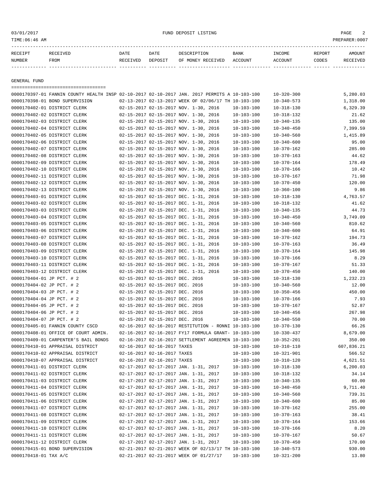## 03/01/2017 FUND DEPOSIT LISTING PAGE 2

| RECEIPT | RECEIVED | DATE     | DATE    | DESCRIPTION       | <b>BANK</b> | INCOME  | <b>REPORT</b> | AMOUNT          |
|---------|----------|----------|---------|-------------------|-------------|---------|---------------|-----------------|
| NUMBER  | FROM     | RECEIVED | DEPOSIT | OF MONEY RECEIVED | ACCOUNT     | ACCOUNT | CODES         | <b>RECEIVED</b> |
|         |          |          |         |                   |             |         |               |                 |

GENERAL FUND

===================================

|                              | 0000170397-01 FANNIN COUNTY HEALTH INSP 02-10-2017 02-10-2017 JAN. 2017 PERMITS A 10-103-100 |                                       |                                                      |                  | $10 - 320 - 300$ | 5,280.03   |
|------------------------------|----------------------------------------------------------------------------------------------|---------------------------------------|------------------------------------------------------|------------------|------------------|------------|
|                              | 0000170398-01 BOND SUPERVISION                                                               |                                       | 02-13-2017 02-13-2017 WEEK OF 02/06/17 TH 10-103-100 |                  | $10 - 340 - 573$ | 1,318.00   |
|                              | 0000170402-01 DISTRICT CLERK                                                                 |                                       | 02-15-2017 02-15-2017 NOV. 1-30, 2016                | $10 - 103 - 100$ | $10 - 318 - 130$ | 6,329.39   |
|                              | 0000170402-02 DISTRICT CLERK                                                                 |                                       | 02-15-2017 02-15-2017 NOV. 1-30, 2016                | $10 - 103 - 100$ | $10 - 318 - 132$ | 21.62      |
|                              | 0000170402-03 DISTRICT CLERK                                                                 |                                       | 02-15-2017 02-15-2017 NOV. 1-30, 2016                | $10 - 103 - 100$ | $10 - 340 - 135$ | 135.00     |
|                              | 0000170402-04 DISTRICT CLERK                                                                 |                                       | 02-15-2017 02-15-2017 NOV. 1-30, 2016                | $10 - 103 - 100$ | $10 - 340 - 450$ | 7,399.59   |
|                              | 0000170402-05 DISTRICT CLERK                                                                 |                                       | 02-15-2017 02-15-2017 NOV. 1-30, 2016                | $10 - 103 - 100$ | $10 - 340 - 560$ | 1,415.89   |
|                              | 0000170402-06 DISTRICT CLERK                                                                 |                                       | 02-15-2017 02-15-2017 NOV. 1-30, 2016                | $10 - 103 - 100$ | $10 - 340 - 600$ | 95.00      |
|                              | 0000170402-07 DISTRICT CLERK                                                                 |                                       | 02-15-2017 02-15-2017 NOV. 1-30, 2016                | $10 - 103 - 100$ | $10 - 370 - 162$ | 285.00     |
|                              | 0000170402-08 DISTRICT CLERK                                                                 |                                       | 02-15-2017 02-15-2017 NOV. 1-30, 2016                | $10 - 103 - 100$ | $10 - 370 - 163$ | 44.62      |
|                              | 0000170402-09 DISTRICT CLERK                                                                 |                                       | 02-15-2017 02-15-2017 NOV. 1-30, 2016                | $10 - 103 - 100$ | $10 - 370 - 164$ | 178.49     |
|                              | 0000170402-10 DISTRICT CLERK                                                                 | 02-15-2017 02-15-2017 NOV. 1-30, 2016 |                                                      | $10 - 103 - 100$ | $10 - 370 - 166$ | 10.42      |
|                              | 0000170402-11 DISTRICT CLERK                                                                 |                                       | 02-15-2017 02-15-2017 NOV. 1-30, 2016                | $10 - 103 - 100$ | $10 - 370 - 167$ | 71.98      |
|                              | 0000170402-12 DISTRICT CLERK                                                                 |                                       | 02-15-2017 02-15-2017 NOV. 1-30, 2016                | $10 - 103 - 100$ | $10 - 370 - 450$ | 120.00     |
|                              | 0000170402-13 DISTRICT CLERK                                                                 | 02-15-2017 02-15-2017 NOV. 1-30, 2016 |                                                      | $10 - 103 - 100$ | $10 - 360 - 100$ | 9.86       |
|                              | 0000170403-01 DISTRICT CLERK                                                                 | 02-15-2017 02-15-2017 DEC. 1-31, 2016 |                                                      | $10 - 103 - 100$ | $10 - 318 - 130$ | 4,763.57   |
|                              | 0000170403-02 DISTRICT CLERK                                                                 |                                       | 02-15-2017 02-15-2017 DEC. 1-31, 2016                | $10 - 103 - 100$ | $10 - 318 - 132$ | 41.62      |
|                              | 0000170403-03 DISTRICT CLERK                                                                 |                                       | 02-15-2017 02-15-2017 DEC. 1-31, 2016                | $10 - 103 - 100$ | $10 - 340 - 135$ | 44.73      |
|                              | 0000170403-04 DISTRICT CLERK                                                                 |                                       | 02-15-2017 02-15-2017 DEC. 1-31, 2016                | $10 - 103 - 100$ | $10 - 340 - 450$ | 3,749.09   |
|                              | 0000170403-05 DISTRICT CLERK                                                                 |                                       | 02-15-2017 02-15-2017 DEC. 1-31, 2016                | $10 - 103 - 100$ | $10 - 340 - 560$ | 810.62     |
|                              | 0000170403-06 DISTRICT CLERK                                                                 |                                       | 02-15-2017 02-15-2017 DEC. 1-31, 2016                | $10 - 103 - 100$ | $10 - 340 - 600$ | 64.91      |
|                              | 0000170403-07 DISTRICT CLERK                                                                 |                                       |                                                      |                  |                  | 194.73     |
|                              |                                                                                              |                                       | 02-15-2017 02-15-2017 DEC. 1-31, 2016                | $10 - 103 - 100$ | $10 - 370 - 162$ |            |
|                              | 0000170403-08 DISTRICT CLERK                                                                 | 02-15-2017 02-15-2017 DEC. 1-31, 2016 |                                                      | $10 - 103 - 100$ | $10 - 370 - 163$ | 36.49      |
|                              | 0000170403-09 DISTRICT CLERK                                                                 |                                       | 02-15-2017 02-15-2017 DEC. 1-31, 2016                | $10 - 103 - 100$ | $10 - 370 - 164$ | 145.98     |
|                              | 0000170403-10 DISTRICT CLERK                                                                 |                                       | 02-15-2017 02-15-2017 DEC. 1-31, 2016                | $10 - 103 - 100$ | $10 - 370 - 166$ | 8.29       |
|                              | 0000170403-11 DISTRICT CLERK                                                                 |                                       | 02-15-2017 02-15-2017 DEC. 1-31, 2016                | $10 - 103 - 100$ | $10 - 370 - 167$ | 51.33      |
|                              | 0000170403-12 DISTRICT CLERK                                                                 | 02-15-2017 02-15-2017 DEC. 1-31, 2016 |                                                      | $10 - 103 - 100$ | $10 - 370 - 450$ | 140.00     |
| 0000170404-01 JP PCT. # 2    |                                                                                              | 02-15-2017 02-15-2017 DEC. 2016       |                                                      | $10 - 103 - 100$ | $10 - 318 - 130$ | 1,232.23   |
| 0000170404-02 JP PCT. # 2    |                                                                                              | 02-15-2017 02-15-2017 DEC. 2016       |                                                      | $10 - 103 - 100$ | $10 - 340 - 560$ | 12.00      |
| 0000170404-03 JP PCT. # 2    |                                                                                              | 02-15-2017 02-15-2017 DEC. 2016       |                                                      | $10 - 103 - 100$ | $10 - 350 - 456$ | 450.00     |
| 0000170404-04 JP PCT. # 2    |                                                                                              | 02-15-2017 02-15-2017 DEC. 2016       |                                                      | $10 - 103 - 100$ | $10 - 370 - 166$ | 7.93       |
| 0000170404-05 JP PCT. # 2    |                                                                                              | 02-15-2017 02-15-2017 DEC. 2016       |                                                      | $10 - 103 - 100$ | $10 - 370 - 167$ | 52.87      |
| 0000170404-06 JP PCT. # 2    |                                                                                              | 02-15-2017 02-15-2017 DEC. 2016       |                                                      | $10 - 103 - 100$ | $10 - 340 - 456$ | 267.98     |
| 0000170404-07 JP PCT. # 2    |                                                                                              | 02-15-2017 02-15-2017 DEC. 2016       |                                                      | $10 - 103 - 100$ | $10 - 340 - 550$ | 70.00      |
|                              | 0000170405-01 FANNIN COUNTY CSCD                                                             |                                       | 02-16-2017 02-16-2017 RESTITUTION - RONNI 10-103-100 |                  | $10 - 370 - 130$ | 66.26      |
|                              | 0000170408-01 OFFICE OF COURT ADMIN.                                                         |                                       | 02-16-2017 02-16-2017 FY17 FORMULA GRANT- 10-103-100 |                  | $10 - 330 - 437$ | 8,679.00   |
|                              | 0000170409-01 CARPENTER'S BAIL BONDS                                                         |                                       | 02-16-2017 02-16-2017 SETTLEMENT AGREEMEN 10-103-100 |                  | $10 - 352 - 201$ | 350.00     |
|                              | 0000170410-01 APPRAISAL DISTRICT                                                             | 02-16-2017 02-16-2017 TAXES           |                                                      | $10 - 103 - 100$ | $10 - 310 - 110$ | 607,836.21 |
|                              | 0000170410-02 APPRAISAL DISTRICT                                                             | 02-16-2017 02-16-2017 TAXES           |                                                      | $10 - 103 - 100$ | $10 - 321 - 901$ | 566.52     |
|                              | 0000170410-07 APPRAISAL DISTRICT                                                             | 02-16-2017 02-16-2017 TAXES           |                                                      | $10 - 103 - 100$ | $10 - 310 - 120$ | 4,621.51   |
|                              | 0000170411-01 DISTRICT CLERK                                                                 |                                       | 02-17-2017 02-17-2017 JAN. 1-31, 2017                | $10 - 103 - 100$ | $10 - 318 - 130$ | 6, 200.03  |
| 0000170411-02 DISTRICT CLERK |                                                                                              | 02-17-2017 02-17-2017 JAN. 1-31, 2017 |                                                      | 10-103-100       | $10 - 318 - 132$ | 34.14      |
|                              | 0000170411-03 DISTRICT CLERK                                                                 | 02-17-2017 02-17-2017 JAN. 1-31, 2017 |                                                      | $10 - 103 - 100$ | $10 - 340 - 135$ | 60.00      |
|                              | 0000170411-04 DISTRICT CLERK                                                                 | 02-17-2017 02-17-2017 JAN. 1-31, 2017 |                                                      | $10 - 103 - 100$ | $10 - 340 - 450$ | 9,711.40   |
|                              | 0000170411-05 DISTRICT CLERK                                                                 |                                       | 02-17-2017 02-17-2017 JAN. 1-31, 2017                | $10 - 103 - 100$ | $10 - 340 - 560$ | 739.31     |
|                              | 0000170411-06 DISTRICT CLERK                                                                 |                                       | 02-17-2017 02-17-2017 JAN. 1-31, 2017                | $10 - 103 - 100$ | $10 - 340 - 600$ | 85.00      |
|                              | 0000170411-07 DISTRICT CLERK                                                                 | 02-17-2017 02-17-2017 JAN. 1-31, 2017 |                                                      | $10 - 103 - 100$ | $10 - 370 - 162$ | 255.00     |
|                              | 0000170411-08 DISTRICT CLERK                                                                 | 02-17-2017 02-17-2017 JAN. 1-31, 2017 |                                                      | $10 - 103 - 100$ | $10 - 370 - 163$ | 38.41      |
|                              | 0000170411-09 DISTRICT CLERK                                                                 |                                       | 02-17-2017 02-17-2017 JAN. 1-31, 2017                | $10 - 103 - 100$ | $10 - 370 - 164$ | 153.66     |
|                              | 0000170411-10 DISTRICT CLERK                                                                 | 02-17-2017 02-17-2017 JAN. 1-31, 2017 |                                                      | $10 - 103 - 100$ | $10 - 370 - 166$ | 8.20       |
|                              | 0000170411-11 DISTRICT CLERK                                                                 |                                       | 02-17-2017 02-17-2017 JAN. 1-31, 2017                | $10 - 103 - 100$ | $10 - 370 - 167$ | 50.67      |
|                              | 0000170411-12 DISTRICT CLERK                                                                 | 02-17-2017 02-17-2017 JAN. 1-31, 2017 |                                                      | $10 - 103 - 100$ | $10 - 370 - 450$ | 170.00     |
|                              | 0000170415-01 BOND SUPERVISION                                                               |                                       | 02-21-2017 02-21-2017 WEEK OF 02/13/17 TH 10-103-100 |                  | $10 - 340 - 573$ | 930.00     |
| 0000170418-01 TAX A/C        |                                                                                              |                                       | 02-21-2017 02-21-2017 WEEK OF 01/27/17               | $10 - 103 - 100$ | $10 - 321 - 200$ | 13.80      |
|                              |                                                                                              |                                       |                                                      |                  |                  |            |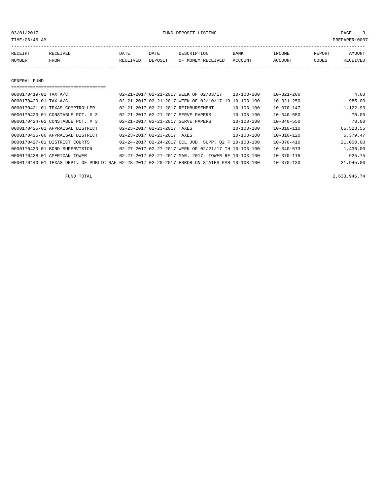03/01/2017 FUND DEPOSIT LISTING PAGE 3

| RECEIPT | RECEIVED | DATE     | DATE    | DESCRIPTION               | BANK | INCOME  | REPORT | <b>AMOUNT</b> |
|---------|----------|----------|---------|---------------------------|------|---------|--------|---------------|
| NUMBER  | FROM     | RECEIVED | DEPOSIT | OF MONEY RECEIVED ACCOUNT |      | ACCOUNT | CODES  | RECEIVED      |
|         |          |          |         |                           |      |         |        |               |
|         |          |          |         |                           |      |         |        |               |
|         |          |          |         |                           |      |         |        |               |

### GENERAL FUND

| 0000170419-01 TAX A/C            | 02-21-2017 02-21-2017 WEEK OF 02/03/17                                                       | 10-103-100       | $10 - 321 - 200$ | 4.60      |
|----------------------------------|----------------------------------------------------------------------------------------------|------------------|------------------|-----------|
| 0000170420-01 TAX A/C            | 02-21-2017 02-21-2017 WEEK OF 02/10/17 19 10-103-100                                         |                  | $10 - 321 - 250$ | 985.00    |
| 0000170421-01 TEXAS COMPTROLLER  | 02-21-2017 02-21-2017 REIMBURSEMENT                                                          | $10 - 103 - 100$ | $10 - 370 - 147$ | 1,122.93  |
| 0000170423-01 CONSTABLE PCT. # 3 | 02-21-2017 02-21-2017 SERVE PAPERS                                                           | $10 - 103 - 100$ | $10 - 340 - 550$ | 70.00     |
| 0000170424-01 CONSTABLE PCT. # 3 | 02-21-2017 02-21-2017 SERVE PAPERS                                                           | $10 - 103 - 100$ | $10 - 340 - 550$ | 70.00     |
| 0000170425-01 APPRAISAL DISTRICT | 02-23-2017 02-23-2017 TAXES                                                                  | $10 - 103 - 100$ | $10 - 310 - 110$ | 65,523.55 |
| 0000170425-06 APPRAISAL DISTRICT | 02-23-2017 02-23-2017 TAXES                                                                  | 10-103-100       | $10 - 310 - 120$ | 6,379.47  |
| 0000170427-01 DISTRICT COURTS    | $02-24-2017$ $02-24-2017$ CCL JUD. SUPP. $02$ F $10-103-100$                                 |                  | $10 - 370 - 410$ | 21,000.00 |
| 0000170430-01 BOND SUPERVISION   | 02-27-2017 02-27-2017 WEEK OF 02/21/17 TH 10-103-100                                         |                  | $10 - 340 - 573$ | 1,430.00  |
| 0000170438-01 AMERICAN TOWER     | $0.2 - 2.7 - 2.017$ $0.2 - 2.7 - 2.017$ MAR, $2.017 -$ TOWER RE 10-103-100                   |                  | $10 - 370 - 115$ | 925.75    |
|                                  | 0000170440-01 TEXAS DEPT. OF PUBLIC SAF 02-28-2017 02-28-2017 ERROR ON STATES PAR 10-103-100 |                  | $10 - 370 - 130$ | 21,945.00 |

FUND TOTAL 2,633,946.74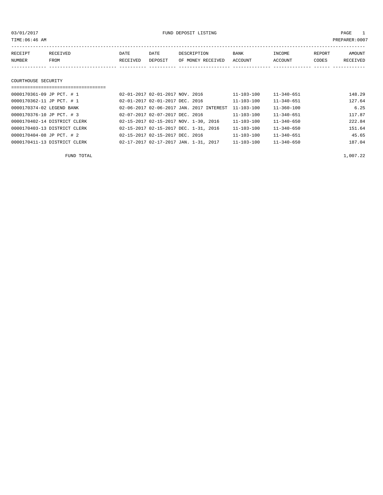03/01/2017 FUND DEPOSIT LISTING PAGE 1

| RECEIPT | RECEIVED | DATE     | DATE    | DESCRIPTION       | <b>BANK</b> | INCOME  | REPORT | <b>AMOUNT</b> |
|---------|----------|----------|---------|-------------------|-------------|---------|--------|---------------|
| NUMBER  | FROM     | RECEIVED | DEPOSIT | OF MONEY RECEIVED | ACCOUNT     | ACCOUNT | CODES  | RECEIVED      |
|         |          |          |         |                   |             |         |        |               |
|         |          |          |         |                   |             |         |        |               |

## COURTHOUSE SECURITY

| ----------------------------------- |                                          |                  |                  |        |
|-------------------------------------|------------------------------------------|------------------|------------------|--------|
| 0000170361-09 JP PCT. # 1           | 02-01-2017 02-01-2017 NOV. 2016          | 11-103-100       | $11 - 340 - 651$ | 148.29 |
| 0000170362-11 JP PCT. # 1           | 02-01-2017 02-01-2017 DEC. 2016          | 11-103-100       | $11 - 340 - 651$ | 127.64 |
| 0000170374-02 LEGEND BANK           | 02-06-2017 02-06-2017 JAN. 2017 INTEREST | $11 - 103 - 100$ | $11 - 360 - 100$ | 6.25   |
| 0000170376-10 JP PCT. # 3           | 02-07-2017 02-07-2017 DEC. 2016          | $11 - 103 - 100$ | $11 - 340 - 651$ | 117.87 |
| 0000170402-14 DISTRICT CLERK        | 02-15-2017 02-15-2017 NOV. 1-30, 2016    | $11 - 103 - 100$ | $11 - 340 - 650$ | 222.84 |
| 0000170403-13 DISTRICT CLERK        | 02-15-2017 02-15-2017 DEC. 1-31, 2016    | $11 - 103 - 100$ | $11 - 340 - 650$ | 151.64 |
| 0000170404-08 JP PCT. # 2           | 02-15-2017 02-15-2017 DEC. 2016          | $11 - 103 - 100$ | $11 - 340 - 651$ | 45.65  |
| 0000170411-13 DISTRICT CLERK        | 02-17-2017 02-17-2017 JAN. 1-31, 2017    | 11-103-100       | $11 - 340 - 650$ | 187.04 |

FUND TOTAL  $1,007.22$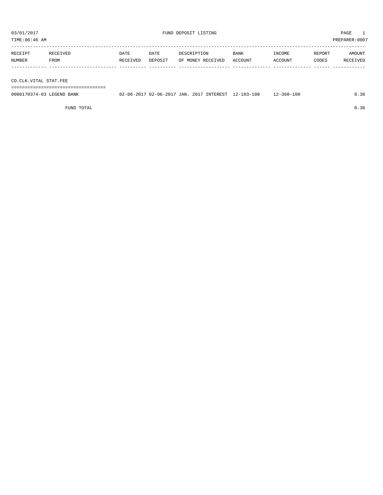TIME:06:46 AM PREPARER:0007

| RECEIPT | RECEIVED | DATE     | DATE    | DESCRIPTION       | <b>BANK</b> | INCOME  | REPORT | AMOUNT   |
|---------|----------|----------|---------|-------------------|-------------|---------|--------|----------|
| NUMBER  | FROM     | RECEIVED | DEPOSIT | OF MONEY RECEIVED | ACCOUNT     | ACCOUNT | CODES  | RECEIVED |
|         |          |          |         |                   |             |         |        |          |
|         |          |          |         |                   |             |         |        |          |

CO.CLK.VITAL STAT.FEE

===================================

| 0000170374-03 LEGEND BANK |  |  | 02-06-2017 02-06-2017 JAN. 2017 INTEREST 12-103-100 | $12 - 360 - 100$ | 0.36 |
|---------------------------|--|--|-----------------------------------------------------|------------------|------|
|                           |  |  |                                                     |                  |      |

FUND TOTAL  $0.36$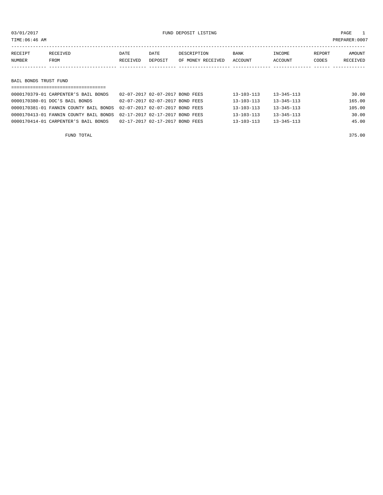03/01/2017 FUND DEPOSIT LISTING PAGE 1

| RECEIPT               | RECEIVED | DATE     | DATE    | DESCRIPTION       | <b>BANK</b> | INCOME  | REPORT | AMOUNT   |  |
|-----------------------|----------|----------|---------|-------------------|-------------|---------|--------|----------|--|
| NUMBER                | FROM     | RECEIVED | DEPOSIT | OF MONEY RECEIVED | ACCOUNT     | ACCOUNT | CODES  | RECEIVED |  |
|                       |          |          |         |                   |             |         |        |          |  |
|                       |          |          |         |                   |             |         |        |          |  |
| BAIL BONDS TRUST FUND |          |          |         |                   |             |         |        |          |  |
|                       |          |          |         |                   |             |         |        |          |  |

| 0000170379-01 CARPENTER'S BAIL BONDS                                   | 02-07-2017 02-07-2017 BOND FEES | 13-103-113       | 13-345-113       | 30.00  |
|------------------------------------------------------------------------|---------------------------------|------------------|------------------|--------|
| 0000170380-01 DOC'S BAIL BONDS                                         | 02-07-2017 02-07-2017 BOND FEES | $13 - 103 - 113$ | $13 - 345 - 113$ | 165.00 |
| 0000170381-01 FANNIN COUNTY BAIL BONDS 02-07-2017 02-07-2017 BOND FEES |                                 | $13 - 103 - 113$ | $13 - 345 - 113$ | 105.00 |
| 0000170413-01 FANNIN COUNTY BAIL BONDS 02-17-2017 02-17-2017 BOND FEES |                                 | $13 - 103 - 113$ | 13-345-113       | 30.00  |
| 0000170414-01 CARPENTER'S BAIL BONDS                                   | 02-17-2017 02-17-2017 BOND FEES | $13 - 103 - 113$ | $13 - 345 - 113$ | 45.00  |
|                                                                        |                                 |                  |                  |        |

FUND TOTAL 375.00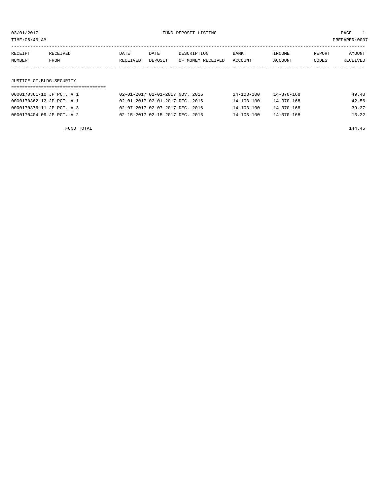| TIME:06:46 AM             |          |          |                                 |                   |                  |                  |        | PREPARER:0007 |
|---------------------------|----------|----------|---------------------------------|-------------------|------------------|------------------|--------|---------------|
| RECEIPT                   | RECEIVED | DATE     | DATE                            | DESCRIPTION       | BANK             | INCOME           | REPORT | AMOUNT        |
| NUMBER                    | FROM     | RECEIVED | DEPOSIT                         | OF MONEY RECEIVED | ACCOUNT          | ACCOUNT          | CODES  | RECEIVED      |
|                           |          |          |                                 |                   |                  |                  |        |               |
| JUSTICE CT.BLDG.SECURITY  |          |          |                                 |                   |                  |                  |        |               |
| 0000170361-10 JP PCT. # 1 |          |          | 02-01-2017 02-01-2017 NOV. 2016 |                   | 14-103-100       | $14 - 370 - 168$ |        | 49.40         |
| 0000170362-12 JP PCT. # 1 |          |          | 02-01-2017 02-01-2017 DEC. 2016 |                   | $14 - 103 - 100$ | $14 - 370 - 168$ |        | 42.56         |

0000170376-11 JP PCT. # 3 02-07-2017 02-07-2017 DEC. 2016 14-103-100 14-370-168 39.27 0000170404-09 JP PCT. # 2 02-15-2017 02-15-2017 DEC. 2016 14-103-100 14-370-168 13.22

FUND TOTAL 2144.45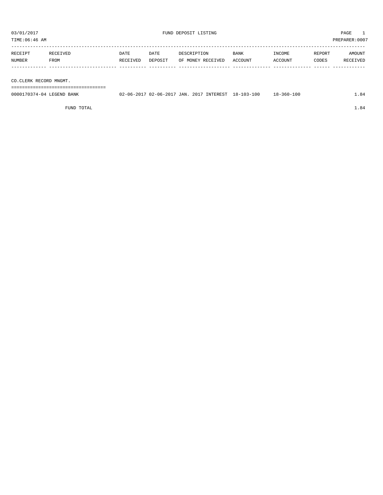TIME:06:46 AM PREPARER:0007

| RECEIPT | RECEIVED | DATE     | DATE    | DESCRIPTION       | <b>BANK</b> | INCOME  | REPORT       | AMOUNT   |
|---------|----------|----------|---------|-------------------|-------------|---------|--------------|----------|
| NUMBER  | FROM     | RECEIVED | DEPOSIT | OF MONEY RECEIVED | ACCOUNT     | ACCOUNT | <b>CODES</b> | RECEIVED |
|         |          |          |         |                   |             |         |              |          |

CO.CLERK RECORD MNGMT.

===================================

| 0000170374-04 LEGEND BANK | 02-06-2017 02-06-2017 JAN. 2017 INTEREST 18-103-100 |  | 18-360-100 | 1.84 |
|---------------------------|-----------------------------------------------------|--|------------|------|
|                           |                                                     |  |            |      |

FUND TOTAL  $1.84$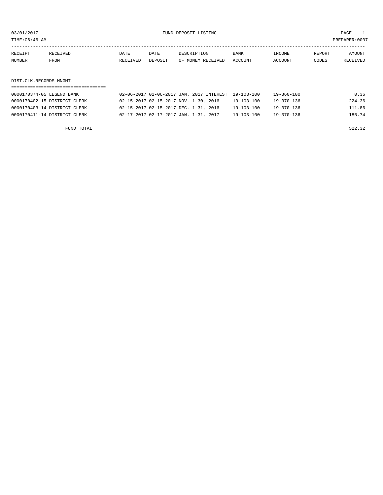03/01/2017 FUND DEPOSIT LISTING PAGE 1

| RECEIPT | RECEIVED | DATE     | DATE    | DESCRIPTION               | <b>BANK</b> | INCOME  | REPORT | <b>AMOUNT</b> |
|---------|----------|----------|---------|---------------------------|-------------|---------|--------|---------------|
| NUMBER  | FROM     | RECEIVED | DEPOSIT | OF MONEY RECEIVED ACCOUNT |             | ACCOUNT | CODES  | RECEIVED      |
|         |          |          |         |                           |             |         |        |               |

DIST.CLK.RECORDS MNGMT.

## =================================== 0000170374-05 LEGEND BANK 02-06-2017 02-06-2017 JAN. 2017 INTEREST 19-103-100 19-360-100 0.36 0000170402-15 DISTRICT CLERK 02-15-2017 02-15-2017 NOV. 1-30, 2016 19-103-100 19-370-136 224.36 0000170403-14 DISTRICT CLERK 02-15-2017 02-15-2017 DEC. 1-31, 2016 19-103-100 19-370-136 111.86 0000170411-14 DISTRICT CLERK 02-17-2017 02-17-2017 JAN. 1-31, 2017 19-103-100 19-370-136 185.74

FUND TOTAL 522.32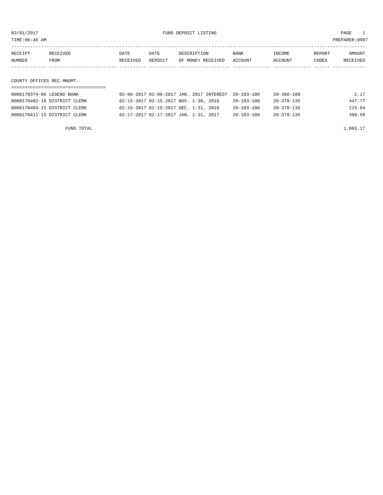03/01/2017 FUND DEPOSIT LISTING PAGE 1

| RECEIPT | RECEIVED    | DATE     | DATE    | DESCRIPTION               | <b>BANK</b> | INCOME  | REPORT | AMOUNT          |
|---------|-------------|----------|---------|---------------------------|-------------|---------|--------|-----------------|
| NUMBER  | <b>FROM</b> | RECEIVED | DEPOSIT | OF MONEY RECEIVED ACCOUNT |             | ACCOUNT | CODES  | <b>RECEIVED</b> |
|         |             |          |         |                           |             |         |        |                 |
|         |             |          |         |                           |             |         |        |                 |

COUNTY OFFICES REC.MNGMT.

| 0000170374-06 LEGEND BANK    | 02-06-2017 02-06-2017 JAN. 2017 INTEREST 20-103-100 |                  | 2.17<br>20-360-100   |
|------------------------------|-----------------------------------------------------|------------------|----------------------|
| 0000170402-16 DISTRICT CLERK | 02-15-2017 02-15-2017 NOV. 1-30, 2016               | $20 - 103 - 100$ | 447.77<br>20-370-135 |
| 0000170403-15 DISTRICT CLERK | 02-15-2017 02-15-2017 DEC. 1-31, 2016               | $20 - 103 - 100$ | 215.64<br>20-370-135 |
| 0000170411-15 DISTRICT CLERK | 02-17-2017 02-17-2017 JAN. 1-31, 2017               | $20 - 103 - 100$ | 399.59<br>20-370-135 |

FUND TOTAL  $1,065.17$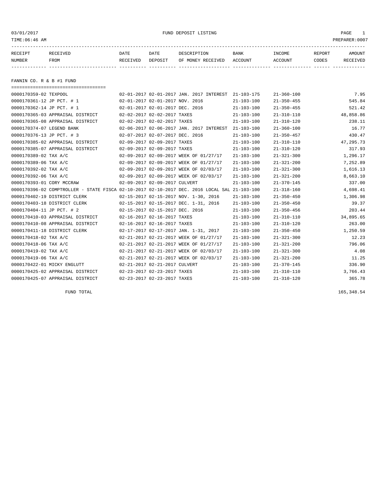| 03/01/2017<br>TIME:06:46 AM                                                                                                                                                                                                                                                                             |                                                                                                                                                                                                                                                                                                                                                                                                                                                               |                  |                                                                                                                                                                                                                                                                                                                                                                     | FUND DEPOSIT LISTING                                                                                                                                                                                                                                                                                                                                                                                          |                                                                                                                                                                                                                                                                                                                                                                |                                                                                                                                                                                                                                                                                                                                                                                                                                  | PAGE<br>1<br>PREPARER: 0007                                                                                                                                                                                                       |
|---------------------------------------------------------------------------------------------------------------------------------------------------------------------------------------------------------------------------------------------------------------------------------------------------------|---------------------------------------------------------------------------------------------------------------------------------------------------------------------------------------------------------------------------------------------------------------------------------------------------------------------------------------------------------------------------------------------------------------------------------------------------------------|------------------|---------------------------------------------------------------------------------------------------------------------------------------------------------------------------------------------------------------------------------------------------------------------------------------------------------------------------------------------------------------------|---------------------------------------------------------------------------------------------------------------------------------------------------------------------------------------------------------------------------------------------------------------------------------------------------------------------------------------------------------------------------------------------------------------|----------------------------------------------------------------------------------------------------------------------------------------------------------------------------------------------------------------------------------------------------------------------------------------------------------------------------------------------------------------|----------------------------------------------------------------------------------------------------------------------------------------------------------------------------------------------------------------------------------------------------------------------------------------------------------------------------------------------------------------------------------------------------------------------------------|-----------------------------------------------------------------------------------------------------------------------------------------------------------------------------------------------------------------------------------|
| RECEIPT<br>NUMBER                                                                                                                                                                                                                                                                                       | RECEIVED<br>FROM                                                                                                                                                                                                                                                                                                                                                                                                                                              | DATE<br>RECEIVED | DATE<br>DEPOSIT                                                                                                                                                                                                                                                                                                                                                     | DESCRIPTION<br>OF MONEY RECEIVED                                                                                                                                                                                                                                                                                                                                                                              | BANK<br>ACCOUNT                                                                                                                                                                                                                                                                                                                                                | INCOME<br><b>ACCOUNT</b>                                                                                                                                                                                                                                                                                                                                                                                                         | REPORT<br>AMOUNT<br>CODES<br>RECEIVED                                                                                                                                                                                             |
| FANNIN CO. R & B #1 FUND                                                                                                                                                                                                                                                                                |                                                                                                                                                                                                                                                                                                                                                                                                                                                               |                  |                                                                                                                                                                                                                                                                                                                                                                     |                                                                                                                                                                                                                                                                                                                                                                                                               |                                                                                                                                                                                                                                                                                                                                                                |                                                                                                                                                                                                                                                                                                                                                                                                                                  |                                                                                                                                                                                                                                   |
| 0000170359-02 TEXPOOL<br>0000170361-12 JP PCT. # 1<br>0000170362-14 JP PCT. # 1<br>0000170374-07 LEGEND BANK<br>0000170376-13 JP PCT. # 3<br>0000170389-02 TAX A/C<br>0000170389-06 TAX A/C<br>0000170392-02 TAX A/C<br>0000170392-06 TAX A/C<br>0000170393-01 CORY MCCRAW<br>0000170404-11 JP PCT. # 2 | =====================================<br>0000170365-03 APPRAISAL DISTRICT<br>0000170365-08 APPRAISAL DISTRICT<br>0000170385-02 APPRAISAL DISTRICT<br>0000170385-07 APPRAISAL DISTRICT<br>0000170396-02 COMPTROLLER - STATE FISCA 02-10-2017 02-10-2017 DEC. 2016 LOCAL SAL 21-103-100<br>0000170402-19 DISTRICT CLERK<br>0000170403-18 DISTRICT CLERK<br>0000170410-03 APPRAISAL DISTRICT<br>0000170410-08 APPRAISAL DISTRICT<br>0000170411-18 DISTRICT CLERK |                  | 02-01-2017 02-01-2017 NOV. 2016<br>02-01-2017 02-01-2017 DEC. 2016<br>02-02-2017 02-02-2017 TAXES<br>02-02-2017 02-02-2017 TAXES<br>02-07-2017 02-07-2017 DEC. 2016<br>02-09-2017 02-09-2017 TAXES<br>02-09-2017 02-09-2017 TAXES<br>02-09-2017 02-09-2017 CULVERT<br>02-15-2017 02-15-2017 DEC. 2016<br>02-16-2017 02-16-2017 TAXES<br>02-16-2017 02-16-2017 TAXES | 02-01-2017 02-01-2017 JAN. 2017 INTEREST 21-103-175<br>02-06-2017 02-06-2017 JAN. 2017 INTEREST 21-103-100<br>02-09-2017 02-09-2017 WEEK OF 01/27/17<br>02-09-2017 02-09-2017 WEEK OF 01/27/17<br>02-09-2017 02-09-2017 WEEK OF 02/03/17<br>02-09-2017 02-09-2017 WEEK OF 02/03/17<br>02-15-2017 02-15-2017 NOV. 1-30, 2016<br>02-15-2017 02-15-2017 DEC. 1-31, 2016<br>02-17-2017 02-17-2017 JAN. 1-31, 2017 | $21 - 103 - 100$<br>$21 - 103 - 100$<br>$21 - 103 - 100$<br>$21 - 103 - 100$<br>$21 - 103 - 100$<br>$21 - 103 - 100$<br>$21 - 103 - 100$<br>$21 - 103 - 100$<br>$21 - 103 - 100$<br>$21 - 103 - 100$<br>$21 - 103 - 100$<br>$21 - 103 - 100$<br>$21 - 103 - 100$<br>$21 - 103 - 100$<br>$21 - 103 - 100$<br>21-103-100<br>$21 - 103 - 100$<br>$21 - 103 - 100$ | $21 - 360 - 100$<br>$21 - 350 - 455$<br>$21 - 350 - 455$<br>$21 - 310 - 110$<br>$21 - 310 - 120$<br>$21 - 360 - 100$<br>$21 - 350 - 457$<br>$21 - 310 - 110$<br>$21 - 310 - 120$<br>$21 - 321 - 300$<br>$21 - 321 - 200$<br>$21 - 321 - 300$<br>$21 - 321 - 200$<br>$21 - 370 - 145$<br>$21 - 318 - 160$<br>$21 - 350 - 450$<br>$21 - 350 - 450$<br>$21 - 350 - 456$<br>$21 - 310 - 110$<br>$21 - 310 - 120$<br>$21 - 350 - 450$ | 7.95<br>545.84<br>521.42<br>48,858.86<br>238.11<br>16.77<br>430.47<br>47,295.73<br>317.93<br>1,296.17<br>7,252.89<br>1,616.13<br>8,663.10<br>337.00<br>4,698.41<br>1,306.98<br>39.37<br>203.44<br>34,895.65<br>263.00<br>1,250.59 |
| 0000170418-02 TAX A/C<br>0000170418-06 TAX A/C<br>0000170419-02 TAX A/C<br>0000170419-06 TAX A/C                                                                                                                                                                                                        | 0000170422-01 MICKY ENGLUTT                                                                                                                                                                                                                                                                                                                                                                                                                                   |                  | 02-21-2017 02-21-2017 CULVERT                                                                                                                                                                                                                                                                                                                                       | 02-21-2017 02-21-2017 WEEK OF 01/27/17<br>02-21-2017 02-21-2017 WEEK OF 01/27/17<br>02-21-2017 02-21-2017 WEEK OF 02/03/17<br>02-21-2017 02-21-2017 WEEK OF 02/03/17                                                                                                                                                                                                                                          | $21 - 103 - 100$<br>$21 - 103 - 100$<br>$21 - 103 - 100$<br>$21 - 103 - 100$<br>$21 - 103 - 100$                                                                                                                                                                                                                                                               | $21 - 321 - 300$<br>$21 - 321 - 200$<br>$21 - 321 - 300$<br>$21 - 321 - 200$<br>$21 - 370 - 145$                                                                                                                                                                                                                                                                                                                                 | 12.23<br>796.06<br>4.08<br>11.25<br>336.90                                                                                                                                                                                        |

0000170425-02 APPRAISAL DISTRICT 02-23-2017 02-23-2017 TAXES 21-103-100 21-310-110 3,766.43 0000170425-07 APPRAISAL DISTRICT 02-23-2017 02-23-2017 TAXES 21-103-100 21-310-120 365.78

FUND TOTAL 165,348.54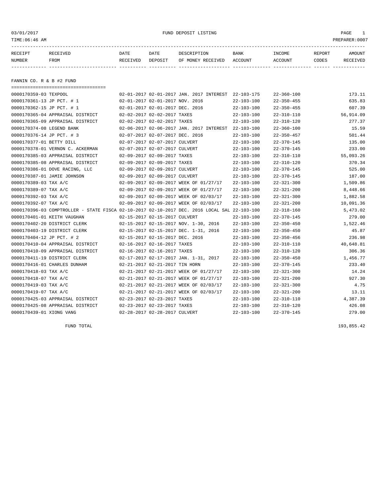| TIME: 06:46 AM            |                                       |                          |                                 |                                                     |                  |                          |                 | PREPARER: 0007     |
|---------------------------|---------------------------------------|--------------------------|---------------------------------|-----------------------------------------------------|------------------|--------------------------|-----------------|--------------------|
| RECEIPT<br>NUMBER         | RECEIVED<br>FROM                      | DATE<br>RECEIVED DEPOSIT | DATE                            | DESCRIPTION<br>OF MONEY RECEIVED ACCOUNT            | BANK             | INCOME<br><b>ACCOUNT</b> | REPORT<br>CODES | AMOUNT<br>RECEIVED |
| FANNIN CO. R & B #2 FUND  |                                       |                          |                                 |                                                     |                  |                          |                 |                    |
| 0000170359-03 TEXPOOL     | ===================================== |                          |                                 | 02-01-2017 02-01-2017 JAN. 2017 INTEREST 22-103-175 |                  | $22 - 360 - 100$         |                 | 173.11             |
|                           | 0000170361-13 JP PCT. # 1             |                          | 02-01-2017 02-01-2017 NOV. 2016 |                                                     | $22 - 103 - 100$ | $22 - 350 - 455$         |                 |                    |
|                           |                                       |                          |                                 |                                                     |                  |                          |                 | 635.83             |
|                           | 0000170362-15 JP PCT. # 1             |                          |                                 | $02-01-2017$ $02-01-2017$ DEC. 2016                 | 22-103-100       | $22 - 350 - 455$         |                 | 607.39             |
|                           | 0000170365-04 APPRAISAL DISTRICT      |                          | 02-02-2017 02-02-2017 TAXES     |                                                     | $22 - 103 - 100$ | $22 - 310 - 110$         |                 | 56,914.09          |
|                           | 0000170365-09 APPRAISAL DISTRICT      |                          | 02-02-2017 02-02-2017 TAXES     |                                                     | $22 - 103 - 100$ | $22 - 310 - 120$         |                 | 277.37             |
|                           | 0000170374-08 LEGEND BANK             |                          |                                 | 02-06-2017 02-06-2017 JAN. 2017 INTEREST            | $22 - 103 - 100$ | $22 - 360 - 100$         |                 | 15.59              |
|                           | 0000170376-14 JP PCT. # 3             |                          | 02-07-2017 02-07-2017 DEC. 2016 |                                                     | 22-103-100       | $22 - 350 - 457$         |                 | 501.44             |
| 0000170377-01 BETTY DILL  |                                       |                          | 02-07-2017 02-07-2017 CULVERT   |                                                     | 22-103-100       | $22 - 370 - 145$         |                 | 135.00             |
|                           | 0000170378-01 VERNON C. ACKERMAN      |                          | 02-07-2017 02-07-2017 CULVERT   |                                                     | $22 - 103 - 100$ | $22 - 370 - 145$         |                 | 233.00             |
|                           | 0000170385-03 APPRAISAL DISTRICT      |                          | 02-09-2017 02-09-2017 TAXES     |                                                     | $22 - 103 - 100$ | $22 - 310 - 110$         |                 | 55,093.26          |
|                           | 0000170385-08 APPRAISAL DISTRICT      |                          |                                 | 02-09-2017 02-09-2017 TAXES                         | $22 - 103 - 100$ | $22 - 310 - 120$         |                 | 370.34             |
|                           | 0000170386-01 DOVE RACING, LLC        |                          | 02-09-2017 02-09-2017 CULVERT   |                                                     | $22 - 103 - 100$ | $22 - 370 - 145$         |                 | 525.00             |
|                           | 0000170387-01 JAMIE JOHNSON           |                          | 02-09-2017 02-09-2017 CULVERT   |                                                     | $22 - 103 - 100$ | $22 - 370 - 145$         |                 | 187.00             |
| 0000170389-03 TAX A/C     |                                       |                          |                                 | 02-09-2017 02-09-2017 WEEK OF 01/27/17              | $22 - 103 - 100$ | $22 - 321 - 300$         |                 | 1,509.86           |
| $0000170389 - 07$ TAX A/C |                                       |                          |                                 | 02-09-2017 02-09-2017 WEEK OF 01/27/17              | $22 - 103 - 100$ | $22 - 321 - 200$         |                 | 8.448.66           |

| 0000170389-03 TAX A/C                                                             |                                 | 02-09-2017 02-09-2017 WEEK OF 01/27/17 | $22 - 103 - 100$ | $22 - 321 - 300$ | 1,509.86  |
|-----------------------------------------------------------------------------------|---------------------------------|----------------------------------------|------------------|------------------|-----------|
| 0000170389-07 TAX A/C                                                             |                                 | 02-09-2017 02-09-2017 WEEK OF 01/27/17 | $22 - 103 - 100$ | $22 - 321 - 200$ | 8,448.66  |
| 0000170392-03 TAX A/C                                                             |                                 | 02-09-2017 02-09-2017 WEEK OF 02/03/17 | $22 - 103 - 100$ | $22 - 321 - 300$ | 1,882.58  |
| 0000170392-07 TAX A/C                                                             |                                 | 02-09-2017 02-09-2017 WEEK OF 02/03/17 | $22 - 103 - 100$ | $22 - 321 - 200$ | 10,091.36 |
| 0000170396-03 COMPTROLLER - STATE FISCA 02-10-2017 02-10-2017 DEC. 2016 LOCAL SAL |                                 |                                        | $22 - 103 - 100$ | $22 - 318 - 160$ | 5,473.02  |
| 0000170401-01 KEITH VAUGHAN                                                       | 02-15-2017 02-15-2017 CULVERT   |                                        | $22 - 103 - 100$ | $22 - 370 - 145$ | 279.00    |
| 0000170402-20 DISTRICT CLERK                                                      |                                 | 02-15-2017 02-15-2017 NOV. 1-30, 2016  | $22 - 103 - 100$ | $22 - 350 - 450$ | 1,522.46  |
| 0000170403-19 DISTRICT CLERK                                                      |                                 | 02-15-2017 02-15-2017 DEC. 1-31, 2016  | $22 - 103 - 100$ | $22 - 350 - 450$ | 45.87     |
| 0000170404-12 JP PCT. # 2                                                         | 02-15-2017 02-15-2017 DEC. 2016 |                                        | $22 - 103 - 100$ | $22 - 350 - 456$ | 236.98    |
| 0000170410-04 APPRAISAL DISTRICT                                                  | 02-16-2017 02-16-2017 TAXES     |                                        | $22 - 103 - 100$ | $22 - 310 - 110$ | 40,648.81 |
| 0000170410-09 APPRAISAL DISTRICT                                                  | 02-16-2017 02-16-2017 TAXES     |                                        | $22 - 103 - 100$ | $22 - 310 - 120$ | 306.36    |
| 0000170411-19 DISTRICT CLERK                                                      |                                 | 02-17-2017 02-17-2017 JAN. 1-31, 2017  | $22 - 103 - 100$ | $22 - 350 - 450$ | 1,456.77  |
| 0000170416-01 CHARLES DUNHAM                                                      | 02-21-2017 02-21-2017 TIN HORN  |                                        | $22 - 103 - 100$ | $22 - 370 - 145$ | 233.40    |
| 0000170418-03 TAX A/C                                                             |                                 | 02-21-2017 02-21-2017 WEEK OF 01/27/17 | $22 - 103 - 100$ | $22 - 321 - 300$ | 14.24     |
| 0000170418-07 TAX A/C                                                             |                                 | 02-21-2017 02-21-2017 WEEK OF 01/27/17 | $22 - 103 - 100$ | $22 - 321 - 200$ | 927.30    |
| 0000170419-03 TAX A/C                                                             |                                 | 02-21-2017 02-21-2017 WEEK OF 02/03/17 | $22 - 103 - 100$ | $22 - 321 - 300$ | 4.75      |
| 0000170419-07 TAX A/C                                                             |                                 | 02-21-2017 02-21-2017 WEEK OF 02/03/17 | $22 - 103 - 100$ | $22 - 321 - 200$ | 13.11     |
| 0000170425-03 APPRAISAL DISTRICT                                                  | 02-23-2017 02-23-2017 TAXES     |                                        | $22 - 103 - 100$ | $22 - 310 - 110$ | 4,387.39  |
| 0000170425-08 APPRAISAL DISTRICT                                                  | 02-23-2017 02-23-2017 TAXES     |                                        | $22 - 103 - 100$ | $22 - 310 - 120$ | 426.08    |
| 0000170439-01 XIONG VANG                                                          | 02-28-2017 02-28-2017 CULVERT   |                                        | $22 - 103 - 100$ | $22 - 370 - 145$ | 279.00    |
|                                                                                   |                                 |                                        |                  |                  |           |

FUND TOTAL 193,855.42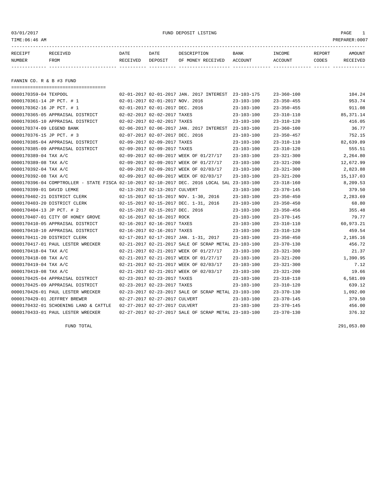| 03/01/2017<br>TIME:06:46 AM |                                                                                              |                  |                                 | FUND DEPOSIT LISTING                                 |                  |                   |                 | PAGE<br>1<br>PREPARER: 0007 |
|-----------------------------|----------------------------------------------------------------------------------------------|------------------|---------------------------------|------------------------------------------------------|------------------|-------------------|-----------------|-----------------------------|
| RECEIPT<br>NUMBER           | RECEIVED<br>FROM                                                                             | DATE<br>RECEIVED | DATE<br>DEPOSIT                 | DESCRIPTION<br>OF MONEY RECEIVED ACCOUNT             | BANK             | INCOME<br>ACCOUNT | REPORT<br>CODES | <b>AMOUNT</b><br>RECEIVED   |
| FANNIN CO. R & B #3 FUND    | ====================================                                                         |                  |                                 |                                                      |                  |                   |                 |                             |
| 0000170359-04 TEXPOOL       |                                                                                              |                  |                                 | 02-01-2017 02-01-2017 JAN. 2017 INTEREST 23-103-175  |                  | $23 - 360 - 100$  |                 | 104.24                      |
| 0000170361-14 JP PCT. # 1   |                                                                                              |                  | 02-01-2017 02-01-2017 NOV. 2016 |                                                      | $23 - 103 - 100$ | $23 - 350 - 455$  |                 | 953.74                      |
| 0000170362-16 JP PCT. # 1   |                                                                                              |                  | 02-01-2017 02-01-2017 DEC. 2016 |                                                      | $23 - 103 - 100$ | $23 - 350 - 455$  |                 | 911.08                      |
|                             | 0000170365-05 APPRAISAL DISTRICT                                                             |                  | 02-02-2017 02-02-2017 TAXES     |                                                      | $23 - 103 - 100$ | $23 - 310 - 110$  |                 | 85, 371.14                  |
|                             | 0000170365-10 APPRAISAL DISTRICT                                                             |                  | 02-02-2017 02-02-2017 TAXES     |                                                      | $23 - 103 - 100$ | $23 - 310 - 120$  |                 | 416.05                      |
| 0000170374-09 LEGEND BANK   |                                                                                              |                  |                                 | 02-06-2017 02-06-2017 JAN. 2017 INTEREST 23-103-100  |                  | $23 - 360 - 100$  |                 | 36.77                       |
| 0000170376-15 JP PCT. # 3   |                                                                                              |                  | 02-07-2017 02-07-2017 DEC. 2016 |                                                      | $23 - 103 - 100$ | $23 - 350 - 457$  |                 | 752.15                      |
|                             | 0000170385-04 APPRAISAL DISTRICT                                                             |                  | 02-09-2017 02-09-2017 TAXES     |                                                      | $23 - 103 - 100$ | $23 - 310 - 110$  |                 | 82,639.89                   |
|                             | 0000170385-09 APPRAISAL DISTRICT                                                             |                  | 02-09-2017 02-09-2017 TAXES     |                                                      | $23 - 103 - 100$ | $23 - 310 - 120$  |                 | 555.51                      |
| 0000170389-04 TAX A/C       |                                                                                              |                  |                                 | 02-09-2017 02-09-2017 WEEK OF 01/27/17               | $23 - 103 - 100$ | $23 - 321 - 300$  |                 | 2,264.80                    |
| 0000170389-08 TAX A/C       |                                                                                              |                  |                                 | 02-09-2017 02-09-2017 WEEK OF 01/27/17               | $23 - 103 - 100$ | $23 - 321 - 200$  |                 | 12,672.99                   |
| 0000170392-04 TAX A/C       |                                                                                              |                  |                                 | 02-09-2017 02-09-2017 WEEK OF 02/03/17               | $23 - 103 - 100$ | $23 - 321 - 300$  |                 | 2,823.88                    |
| 0000170392-08 TAX A/C       |                                                                                              |                  |                                 | 02-09-2017 02-09-2017 WEEK OF 02/03/17               | $23 - 103 - 100$ | $23 - 321 - 200$  |                 | 15, 137.03                  |
|                             | 0000170396-04 COMPTROLLER - STATE FISCA 02-10-2017 02-10-2017 DEC. 2016 LOCAL SAL 23-103-100 |                  |                                 |                                                      |                  | 23-318-160        |                 | 8,209.53                    |
| 0000170399-01 DAVID LEMKE   |                                                                                              |                  | 02-13-2017 02-13-2017 CULVERT   |                                                      | $23 - 103 - 100$ | $23 - 370 - 145$  |                 | 379.50                      |
|                             | 0000170402-21 DISTRICT CLERK                                                                 |                  |                                 | 02-15-2017 02-15-2017 NOV. 1-30, 2016                | $23 - 103 - 100$ | $23 - 350 - 450$  |                 | 2,283.69                    |
|                             | 0000170403-20 DISTRICT CLERK                                                                 |                  |                                 | 02-15-2017 02-15-2017 DEC. 1-31, 2016                | $23 - 103 - 100$ | $23 - 350 - 450$  |                 | 68.80                       |
| 0000170404-13 JP PCT. # 2   |                                                                                              |                  | 02-15-2017 02-15-2017 DEC. 2016 |                                                      | $23 - 103 - 100$ | $23 - 350 - 456$  |                 | 355.48                      |
|                             | 0000170407-01 CITY OF HONEY GROVE                                                            |                  | 02-16-2017 02-16-2017 ROCK      |                                                      | $23 - 103 - 100$ | $23 - 370 - 145$  |                 | 79.77                       |
|                             | 0000170410-05 APPRAISAL DISTRICT                                                             |                  | 02-16-2017 02-16-2017 TAXES     |                                                      | $23 - 103 - 100$ | $23 - 310 - 110$  |                 | 60,973.21                   |
|                             | 0000170410-10 APPRAISAL DISTRICT                                                             |                  | 02-16-2017 02-16-2017 TAXES     |                                                      | $23 - 103 - 100$ | $23 - 310 - 120$  |                 | 459.54                      |
|                             | 0000170411-20 DISTRICT CLERK                                                                 |                  |                                 | 02-17-2017 02-17-2017 JAN. 1-31, 2017                | $23 - 103 - 100$ | $23 - 350 - 450$  |                 | 2,185.16                    |
|                             | 0000170417-01 PAUL LESTER WRECKER                                                            |                  |                                 | 02-21-2017 02-21-2017 SALE OF SCRAP METAL 23-103-100 |                  | $23 - 370 - 130$  |                 | 456.72                      |
| 0000170418-04 TAX A/C       |                                                                                              |                  |                                 | 02-21-2017 02-21-2017 WEEK OF 01/27/17               | $23 - 103 - 100$ | $23 - 321 - 300$  |                 | 21.37                       |
| 0000170418-08 TAX A/C       |                                                                                              |                  |                                 | 02-21-2017 02-21-2017 WEEK OF 01/27/17               | $23 - 103 - 100$ | $23 - 321 - 200$  |                 | 1,390.95                    |
| 0000170419-04 TAX A/C       |                                                                                              |                  |                                 | 02-21-2017 02-21-2017 WEEK OF 02/03/17               | $23 - 103 - 100$ | $23 - 321 - 300$  |                 | 7.12                        |
| 0000170419-08 TAX A/C       |                                                                                              |                  |                                 | 02-21-2017 02-21-2017 WEEK OF 02/03/17               | $23 - 103 - 100$ | 23-321-200        |                 | 19.66                       |
|                             | 0000170425-04 APPRAISAL DISTRICT                                                             |                  | 02-23-2017 02-23-2017 TAXES     |                                                      | $23 - 103 - 100$ | $23 - 310 - 110$  |                 | 6,581.09                    |
|                             | 0000170425-09 APPRAISAL DISTRICT                                                             |                  | 02-23-2017 02-23-2017 TAXES     |                                                      | $23 - 103 - 100$ | $23 - 310 - 120$  |                 | 639.12                      |
|                             | 0000170426-01 PAUL LESTER WRECKER                                                            |                  |                                 | 02-23-2017 02-23-2017 SALE OF SCRAP METAL 23-103-100 |                  | $23 - 370 - 130$  |                 | 1,092.00                    |
|                             | 0000170429-01 JEFFREY BREWER                                                                 |                  | 02-27-2017 02-27-2017 CULVERT   |                                                      | $23 - 103 - 100$ | $23 - 370 - 145$  |                 | 379.50                      |
|                             | 0000170432-01 SCHOENING LAND & CATTLE                                                        |                  | 02-27-2017 02-27-2017 CULVERT   |                                                      | $23 - 103 - 100$ | $23 - 370 - 145$  |                 | 456.00                      |
|                             | 0000170433-01 PAUL LESTER WRECKER                                                            |                  |                                 | 02-27-2017 02-27-2017 SALE OF SCRAP METAL 23-103-100 |                  | $23 - 370 - 130$  |                 | 376.32                      |

FUND TOTAL 291,053.80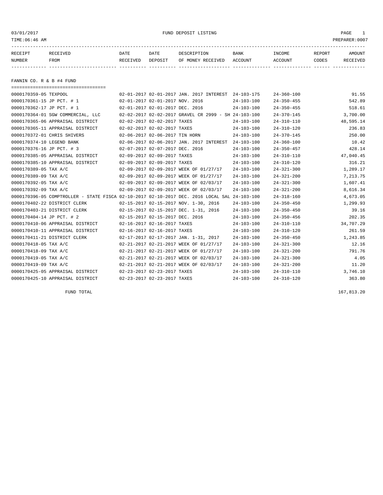03/01/2017 FUND DEPOSIT LISTING PAGE 1

| <b>NUMBER</b> | <b>FROM</b>     | RECEIVED | DEPOSIT | OF MONEY RECEIVED ACCOUNT |             | <b>ACCOUNT</b> | CODES         | <b>RECEIVED</b> |
|---------------|-----------------|----------|---------|---------------------------|-------------|----------------|---------------|-----------------|
| RECEIPT       | <b>RECEIVED</b> | DATE     | DATE    | DESCRIPTION               | <b>BANK</b> | <b>TNCOME</b>  | <b>REPORT</b> | AMOUNT          |
|               |                 |          |         |                           |             |                |               |                 |

FANNIN CO. R & B #4 FUND

| ======================================                                                       |                                 |                             |                                                      |                  |                  |           |
|----------------------------------------------------------------------------------------------|---------------------------------|-----------------------------|------------------------------------------------------|------------------|------------------|-----------|
| 0000170359-05 TEXPOOL                                                                        |                                 |                             | 02-01-2017 02-01-2017 JAN. 2017 INTEREST 24-103-175  |                  | $24 - 360 - 100$ | 91.55     |
| 0000170361-15 JP PCT. # 1                                                                    | 02-01-2017 02-01-2017 NOV. 2016 |                             |                                                      | $24 - 103 - 100$ | $24 - 350 - 455$ | 542.89    |
| 0000170362-17 JP PCT. # 1                                                                    | 02-01-2017 02-01-2017 DEC. 2016 |                             |                                                      | $24 - 103 - 100$ | $24 - 350 - 455$ | 518.61    |
| 0000170364-01 SGW COMMERCIAL, LLC                                                            |                                 |                             | 02-02-2017 02-02-2017 GRAVEL CR 2999 - SH 24-103-100 |                  | $24 - 370 - 145$ | 3,700.00  |
| 0000170365-06 APPRAISAL DISTRICT                                                             |                                 | 02-02-2017 02-02-2017 TAXES |                                                      | $24 - 103 - 100$ | $24 - 310 - 110$ | 48,595.14 |
| 0000170365-11 APPRAISAL DISTRICT                                                             | 02-02-2017 02-02-2017 TAXES     |                             |                                                      | $24 - 103 - 100$ | $24 - 310 - 120$ | 236.83    |
| 0000170372-01 CHRIS SHIVERS                                                                  | 02-06-2017 02-06-2017 TIN HORN  |                             |                                                      | $24 - 103 - 100$ | $24 - 370 - 145$ | 250.00    |
| 0000170374-10 LEGEND BANK                                                                    |                                 |                             | 02-06-2017 02-06-2017 JAN. 2017 INTEREST 24-103-100  |                  | $24 - 360 - 100$ | 10.42     |
| 0000170376-16 JP PCT. # 3                                                                    | 02-07-2017 02-07-2017 DEC. 2016 |                             |                                                      | $24 - 103 - 100$ | $24 - 350 - 457$ | 428.14    |
| 0000170385-05 APPRAISAL DISTRICT                                                             | 02-09-2017 02-09-2017 TAXES     |                             |                                                      | $24 - 103 - 100$ | $24 - 310 - 110$ | 47,040.45 |
| 0000170385-10 APPRAISAL DISTRICT                                                             | 02-09-2017 02-09-2017 TAXES     |                             |                                                      | $24 - 103 - 100$ | $24 - 310 - 120$ | 316.21    |
| 0000170389-05 TAX A/C                                                                        |                                 |                             | 02-09-2017 02-09-2017 WEEK OF 01/27/17               | $24 - 103 - 100$ | $24 - 321 - 300$ | 1,289.17  |
| 0000170389-09 TAX A/C                                                                        |                                 |                             | 02-09-2017 02-09-2017 WEEK OF 01/27/17               | $24 - 103 - 100$ | $24 - 321 - 200$ | 7,213.75  |
| 0000170392-05 TAX A/C                                                                        |                                 |                             | 02-09-2017 02-09-2017 WEEK OF 02/03/17               | $24 - 103 - 100$ | $24 - 321 - 300$ | 1,607.41  |
| 0000170392-09 TAX A/C                                                                        |                                 |                             | 02-09-2017 02-09-2017 WEEK OF 02/03/17               | $24 - 103 - 100$ | $24 - 321 - 200$ | 8,616.34  |
| 0000170396-05 COMPTROLLER - STATE FISCA 02-10-2017 02-10-2017 DEC. 2016 LOCAL SAL 24-103-100 |                                 |                             |                                                      |                  | $24 - 318 - 160$ | 4,673.05  |
| 0000170402-22 DISTRICT CLERK                                                                 |                                 |                             | 02-15-2017 02-15-2017 NOV. 1-30, 2016                | $24 - 103 - 100$ | $24 - 350 - 450$ | 1,299.93  |
| 0000170403-21 DISTRICT CLERK                                                                 |                                 |                             | 02-15-2017 02-15-2017 DEC. 1-31, 2016                | $24 - 103 - 100$ | $24 - 350 - 450$ | 39.16     |
| 0000170404-14 JP PCT. # 2                                                                    | 02-15-2017 02-15-2017 DEC. 2016 |                             |                                                      | $24 - 103 - 100$ | $24 - 350 - 456$ | 202.35    |
| 0000170410-06 APPRAISAL DISTRICT                                                             | 02-16-2017 02-16-2017 TAXES     |                             |                                                      | $24 - 103 - 100$ | $24 - 310 - 110$ | 34,707.29 |
| 0000170410-11 APPRAISAL DISTRICT                                                             | 02-16-2017 02-16-2017 TAXES     |                             |                                                      | $24 - 103 - 100$ | $24 - 310 - 120$ | 261.59    |
| 0000170411-21 DISTRICT CLERK                                                                 |                                 |                             | 02-17-2017 02-17-2017 JAN. 1-31, 2017                | $24 - 103 - 100$ | $24 - 350 - 450$ | 1,243.85  |
| 0000170418-05 TAX A/C                                                                        |                                 |                             | 02-21-2017 02-21-2017 WEEK OF 01/27/17               | $24 - 103 - 100$ | $24 - 321 - 300$ | 12.16     |
| 0000170418-09 TAX A/C                                                                        |                                 |                             | 02-21-2017 02-21-2017 WEEK OF 01/27/17               | $24 - 103 - 100$ | $24 - 321 - 200$ | 791.76    |
| 0000170419-05 TAX A/C                                                                        |                                 |                             | 02-21-2017 02-21-2017 WEEK OF 02/03/17               | $24 - 103 - 100$ | $24 - 321 - 300$ | 4.05      |
| 0000170419-09 TAX A/C                                                                        |                                 |                             | 02-21-2017 02-21-2017 WEEK OF 02/03/17               | $24 - 103 - 100$ | $24 - 321 - 200$ | 11.20     |
| 0000170425-05 APPRAISAL DISTRICT                                                             | 02-23-2017 02-23-2017 TAXES     |                             |                                                      | $24 - 103 - 100$ | $24 - 310 - 110$ | 3,746.10  |
| 0000170425-10 APPRAISAL DISTRICT                                                             |                                 | 02-23-2017 02-23-2017 TAXES |                                                      | $24 - 103 - 100$ | $24 - 310 - 120$ | 363.80    |

FUND TOTAL 167,813.20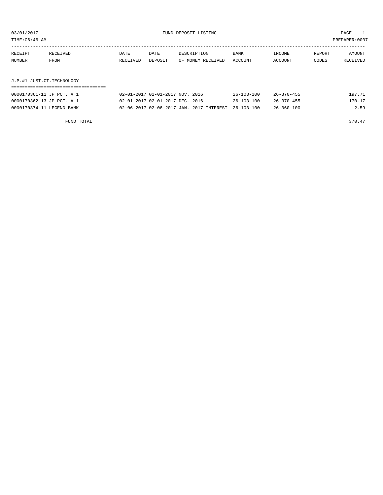| TIME:06:46 AM |                           |          |                                 |                   |                  |                  |        | PREPARER:0007 |
|---------------|---------------------------|----------|---------------------------------|-------------------|------------------|------------------|--------|---------------|
|               |                           |          |                                 |                   |                  |                  |        |               |
| RECEIPT       | RECEIVED                  | DATE     | DATE                            | DESCRIPTION       | BANK             | INCOME           | REPORT | AMOUNT        |
| NUMBER        | FROM                      | RECEIVED | DEPOSIT                         | OF MONEY RECEIVED | ACCOUNT          | ACCOUNT          | CODES  | RECEIVED      |
|               |                           |          |                                 |                   |                  |                  |        |               |
|               |                           |          |                                 |                   |                  |                  |        |               |
|               | J.P.#1 JUST.CT.TECHNOLOGY |          |                                 |                   |                  |                  |        |               |
|               |                           |          |                                 |                   |                  |                  |        |               |
|               | 0000170361-11 JP PCT. # 1 |          | 02-01-2017 02-01-2017 NOV. 2016 |                   | $26 - 103 - 100$ | $26 - 370 - 455$ |        | 197.71        |

0000170362-13 JP PCT. # 1 02-01-2017 02-01-2017 DEC. 2016 26-103-100 26-370-455 170.17 0000170374-11 LEGEND BANK 02-06-2017 02-06-2017 JAN. 2017 INTEREST 26-103-100 26-360-100 2.59

FUND TOTAL 370.47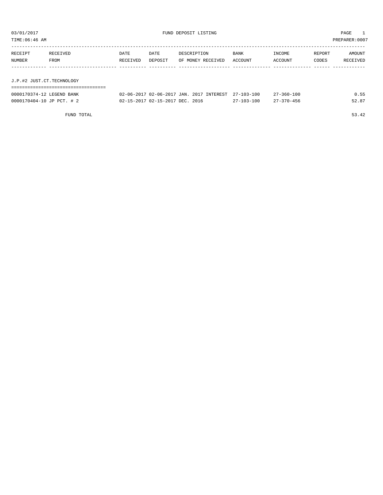| TIME:06:46 AM |          |          |         |                   |             |         |        | PREPARER:0007 |
|---------------|----------|----------|---------|-------------------|-------------|---------|--------|---------------|
|               |          |          |         |                   |             |         |        |               |
| RECEIPT       | RECEIVED | DATE     | DATE    | DESCRIPTION       | <b>BANK</b> | INCOME  | REPORT | AMOUNT        |
| NUMBER        | FROM     | RECEIVED | DEPOSIT | OF MONEY RECEIVED | ACCOUNT     | ACCOUNT | CODES  | RECEIVED      |
|               |          |          |         |                   |             |         |        |               |

J.P.#2 JUST.CT.TECHNOLOGY

| --------------------------------- |                                                     |                  |                  |       |
|-----------------------------------|-----------------------------------------------------|------------------|------------------|-------|
| 0000170374-12 LEGEND BANK         | 02-06-2017 02-06-2017 JAN. 2017 INTEREST 27-103-100 |                  | $27 - 360 - 100$ | 0.55  |
| 0000170404-10 JP PCT. # 2         | 02-15-2017 02-15-2017 DEC. 2016                     | $27 - 103 - 100$ | $27 - 370 - 456$ | 52.87 |

FUND TOTAL 53.42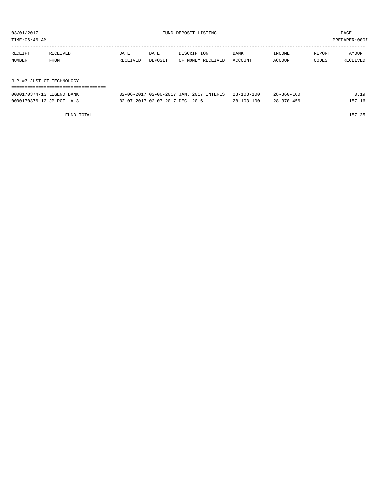| 03/01/2017<br>TIME:06:46 AM |                           | FUND DEPOSIT LISTING |                                 |                                          |                  | PAGE<br>PREPARER: 0007 |        |          |  |
|-----------------------------|---------------------------|----------------------|---------------------------------|------------------------------------------|------------------|------------------------|--------|----------|--|
| RECEIPT                     | RECEIVED                  | DATE                 | DATE                            | DESCRIPTION                              | BANK             | INCOME                 | REPORT | AMOUNT   |  |
| NUMBER                      | FROM                      | RECEIVED             | DEPOSIT                         | OF MONEY RECEIVED                        | ACCOUNT          | ACCOUNT                | CODES  | RECEIVED |  |
|                             |                           |                      |                                 |                                          |                  |                        |        |          |  |
|                             | J.P.#3 JUST.CT.TECHNOLOGY |                      |                                 |                                          |                  |                        |        |          |  |
| 0000170374-13 LEGEND BANK   |                           |                      |                                 | 02-06-2017 02-06-2017 JAN. 2017 INTEREST | $28 - 103 - 100$ | $28 - 360 - 100$       |        | 0.19     |  |
| 0000170376-12 JP PCT. # 3   |                           |                      | 02-07-2017 02-07-2017 DEC. 2016 |                                          | $28 - 103 - 100$ | $28 - 370 - 456$       |        | 157.16   |  |

FUND TOTAL 157.35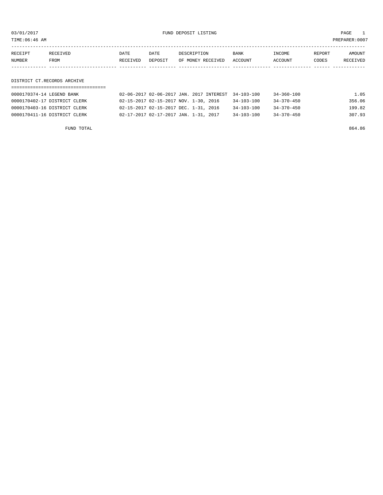03/01/2017 FUND DEPOSIT LISTING PAGE 1

| RECEIPT | <b>RECEIVED</b> | DATE     | DATE    | DESCRIPTION       | BANK    | INCOME  | REPORT | AMOUNT   |
|---------|-----------------|----------|---------|-------------------|---------|---------|--------|----------|
| NUMBER  | FROM            | RECEIVED | DEPOSIT | OF MONEY RECEIVED | ACCOUNT | ACCOUNT | CODES  | RECEIVED |
|         |                 |          |         |                   |         |         |        |          |

DISTRICT CT.RECORDS ARCHIVE

| 0000170374-14 LEGEND BANK    | 02-06-2017 02-06-2017 JAN. 2017 INTEREST 34-103-100 |                  | 34-360-100 | 1.05   |
|------------------------------|-----------------------------------------------------|------------------|------------|--------|
| 0000170402-17 DISTRICT CLERK | 02-15-2017 02-15-2017 NOV. 1-30, 2016               | $34 - 103 - 100$ | 34-370-450 | 356.06 |
| 0000170403-16 DISTRICT CLERK | 02-15-2017 02-15-2017 DEC. 1-31, 2016               | $34 - 103 - 100$ | 34-370-450 | 199.82 |
| 0000170411-16 DISTRICT CLERK | 02-17-2017 02-17-2017 JAN. 1-31, 2017               | $34 - 103 - 100$ | 34-370-450 | 307.93 |

FUND TOTAL 864.86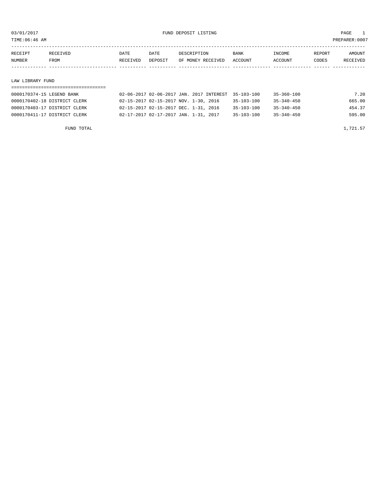TIME:06:46 AM PREPARER:0007

| RECEIPT | RECEIVED    | DATE     | DATE    | DESCRIPTION       | <b>BANK</b> | INCOME  | REPORT | AMOUNT          |
|---------|-------------|----------|---------|-------------------|-------------|---------|--------|-----------------|
| NUMBER  | <b>FROM</b> | RECEIVED | DEPOSIT | OF MONEY RECEIVED | ACCOUNT     | ACCOUNT | CODES  | <b>RECEIVED</b> |
|         |             |          |         |                   |             |         |        |                 |

#### LAW LIBRARY FUND

| 0000170374-15 LEGEND BANK    | 02-06-2017 02-06-2017 JAN. 2017 INTEREST 35-103-100 | $35 - 360 - 100$                     | 7.20   |
|------------------------------|-----------------------------------------------------|--------------------------------------|--------|
| 0000170402-18 DISTRICT CLERK | 02-15-2017 02-15-2017 NOV. 1-30, 2016               | $35 - 103 - 100$<br>$35 - 340 - 450$ | 665.00 |
| 0000170403-17 DISTRICT CLERK | 02-15-2017 02-15-2017 DEC. 1-31, 2016               | $35 - 103 - 100$<br>$35 - 340 - 450$ | 454.37 |
| 0000170411-17 DISTRICT CLERK | 02-17-2017 02-17-2017 JAN. 1-31, 2017               | $35 - 103 - 100$<br>$35 - 340 - 450$ | 595.00 |

FUND TOTAL  $1,721.57$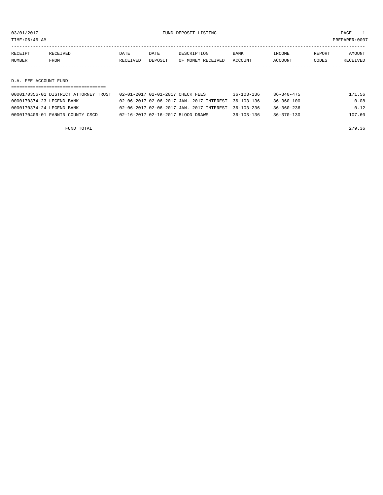TIME:06:46 AM PREPARER:0007

| RECEIPT               | RECEIVED    | DATE     | DATE    | DESCRIPTION       | <b>BANK</b> | INCOME  | REPORT | AMOUNT   |
|-----------------------|-------------|----------|---------|-------------------|-------------|---------|--------|----------|
| NUMBER                | <b>FROM</b> | RECEIVED | DEPOSIT | OF MONEY RECEIVED | ACCOUNT     | ACCOUNT | CODES  | RECEIVED |
|                       |             |          |         |                   |             |         |        |          |
|                       |             |          |         |                   |             |         |        |          |
| D.A. FEE ACCOUNT FUND |             |          |         |                   |             |         |        |          |

| 0000170356-01 DISTRICT ATTORNEY TRUST | 02-01-2017 02-01-2017 CHECK FEES                    | $36 - 103 - 136$ | $36 - 340 - 475$ | 171.56 |  |  |  |  |  |  |
|---------------------------------------|-----------------------------------------------------|------------------|------------------|--------|--|--|--|--|--|--|
| 0000170374-23 LEGEND BANK             | 02-06-2017 02-06-2017 JAN. 2017 INTEREST 36-103-136 |                  | 36-360-100       | 0.08   |  |  |  |  |  |  |
| 0000170374-24 LEGEND BANK             | 02-06-2017 02-06-2017 JAN. 2017 INTEREST 36-103-236 |                  | 36-360-236       | 0.12   |  |  |  |  |  |  |
| 0000170406-01 FANNIN COUNTY CSCD      | 02-16-2017 02-16-2017 BLOOD DRAWS                   | $36 - 103 - 136$ | $36 - 370 - 130$ | 107.60 |  |  |  |  |  |  |

FUND TOTAL 279.36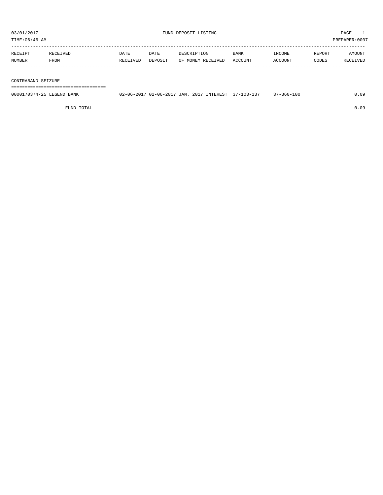TIME:06:46 AM PREPARER:0007

| RECEIPT | RECEIVED | DATE     | DATE    | DESCRIPTION       | <b>BANK</b> | INCOME  | REPORT | AMOUNT   |
|---------|----------|----------|---------|-------------------|-------------|---------|--------|----------|
| NUMBER  | FROM     | RECEIVED | DEPOSIT | OF MONEY RECEIVED | ACCOUNT     | ACCOUNT | CODES  | RECEIVED |
|         |          |          |         |                   |             |         |        |          |

#### CONTRABAND SEIZURE

===================================

| 0000170374-25 LEGEND BANK | 02-06-2017 02-06-2017 JAN. 2017 INTEREST 37-103-137 |  | $37 - 360 - 100$ | .09 |
|---------------------------|-----------------------------------------------------|--|------------------|-----|
|                           |                                                     |  |                  |     |

FUND TOTAL 0.09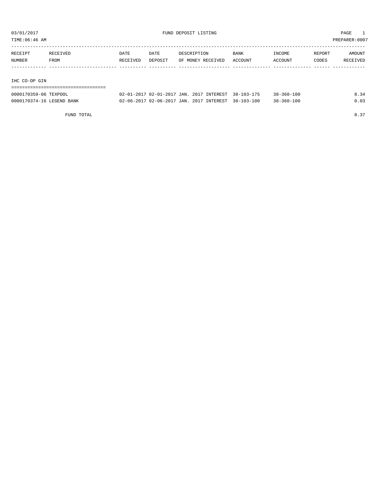TIME:06:46 AM PREPARER:0007

| RECEIPT | RECEIVED | DATE     | DATE    | DESCRIPTION       | <b>BANK</b> | INCOME  | REPORT | AMOUNT   |
|---------|----------|----------|---------|-------------------|-------------|---------|--------|----------|
| NUMBER  | FROM     | RECEIVED | DEPOSIT | OF MONEY RECEIVED | ACCOUNT     | ACCOUNT | CODES  | RECEIVED |
|         |          |          |         |                   |             |         |        |          |
|         |          |          |         |                   |             |         |        |          |
|         |          |          |         |                   |             |         |        |          |

IHC CO-OP GIN

## ===================================

| 0000170359-06 TEXPOOL     |  | 02-01-2017 02-01-2017 JAN. 2017 INTEREST 38-103-175 | $38 - 360 - 100$ | 8.34 |
|---------------------------|--|-----------------------------------------------------|------------------|------|
| 0000170374-16 LEGEND BANK |  | 02-06-2017 02-06-2017 JAN. 2017 INTEREST 38-103-100 | $38 - 360 - 100$ | 0.03 |

FUND TOTAL  $8.37$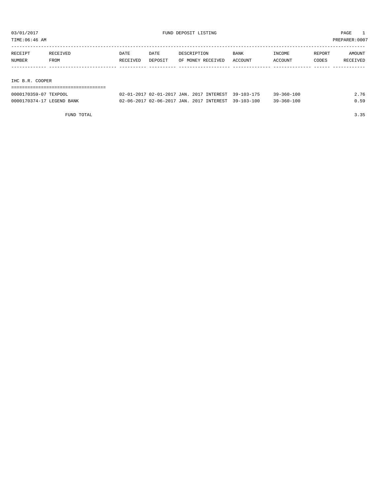TIME:06:46 AM PREPARER:0007

| RECEIPT         | RECEIVED | DATE     | DATE    | DESCRIPTION       | BANK    | INCOME         | REPORT | AMOUNT   |
|-----------------|----------|----------|---------|-------------------|---------|----------------|--------|----------|
| NUMBER          | FROM     | RECEIVED | DEPOSIT | OF MONEY RECEIVED | ACCOUNT | <b>ACCOUNT</b> | CODES  | RECEIVED |
|                 |          |          |         |                   |         |                |        |          |
|                 |          |          |         |                   |         |                |        |          |
| IHC B.R. COOPER |          |          |         |                   |         |                |        |          |

===================================

| 0000170359-07 TEXPOOL     | 02-01-2017 02-01-2017 JAN. 2017 INTEREST 39-103-175 |  | 39-360-100       | 2.76 |
|---------------------------|-----------------------------------------------------|--|------------------|------|
| 0000170374-17 LEGEND BANK | 02-06-2017 02-06-2017 JAN. 2017 INTEREST 39-103-100 |  | $39 - 360 - 100$ | 0.59 |

FUND TOTAL 3.35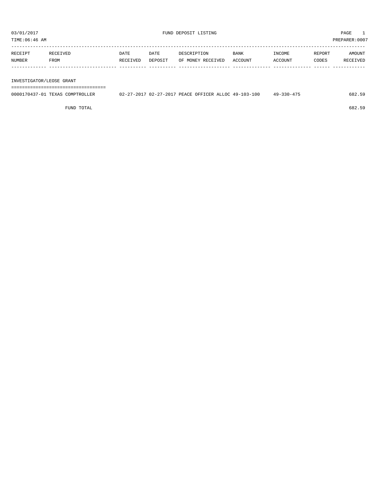TIME:06:46 AM PREPARER:0007

| RECEIPT | RECEIVED | DATE     | DATE    | DESCRIPTION       | <b>BANK</b> | INCOME         | REPORT | AMOUNT   |
|---------|----------|----------|---------|-------------------|-------------|----------------|--------|----------|
| NUMBER  | FROM     | RECEIVED | DEPOSIT | OF MONEY RECEIVED | ACCOUNT     | <b>ACCOUNT</b> | CODES  | RECEIVED |
|         |          |          |         |                   |             |                |        |          |

INVESTIGATOR/LEOSE GRANT

===================================

| 0000170437-01<br>TEXAS .<br>" COMPTROLLER | 02-27-2017 02-27-2017 PEACE OFFICER ALLOC 49-103-100 |  | $49 - 330 - 475$ | 682.5° |
|-------------------------------------------|------------------------------------------------------|--|------------------|--------|
|                                           |                                                      |  |                  |        |

FUND TOTAL 682.59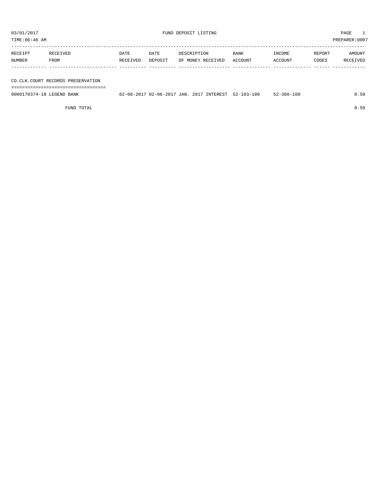TIME:06:46 AM PREPARER:0007

| RECEIPT | RECEIVED | DATE     | DATE    | DESCRIPTION       | <b>BANK</b> | INCOME  | REPORT       | AMOUNT   |
|---------|----------|----------|---------|-------------------|-------------|---------|--------------|----------|
| NUMBER  | FROM     | RECEIVED | DEPOSIT | OF MONEY RECEIVED | ACCOUNT     | ACCOUNT | <b>CODES</b> | RECEIVED |
|         |          |          |         |                   |             |         |              |          |

## CO.CLK.COURT RECORDS PRESERVATION

===================================

| 0000170374-18 LEGEND BANK | 02-06-2017 02-06-2017 JAN. 2017 INTEREST 52-103-100 |  | $52 - 360 - 100$ | า 59 |
|---------------------------|-----------------------------------------------------|--|------------------|------|
|                           |                                                     |  |                  |      |

FUND TOTAL 0.59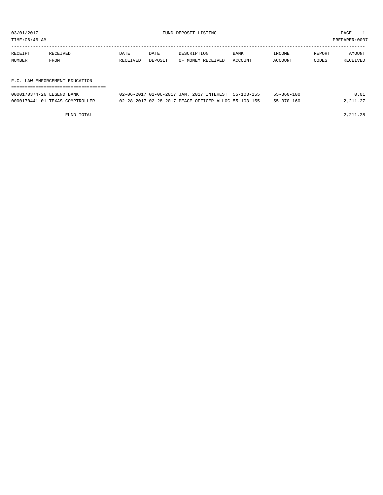TIME:06:46 AM PREPARER:0007

| RECEIPT | RECEIVED | DATE     | DATE    | DESCRIPTION       | BANK    | INCOME  | REPORT | AMOUNT   |
|---------|----------|----------|---------|-------------------|---------|---------|--------|----------|
| NUMBER  | FROM     | RECEIVED | DEPOSIT | OF MONEY RECEIVED | ACCOUNT | ACCOUNT | CODES  | RECEIVED |
|         |          |          |         |                   |         |         |        |          |
|         |          |          |         |                   |         |         |        |          |

F.C. LAW ENFORCEMENT EDUCATION

| ----------------------------    |                                                      |                  |          |
|---------------------------------|------------------------------------------------------|------------------|----------|
| 0000170374-26 LEGEND BANK       | 02-06-2017 02-06-2017 JAN. 2017 INTEREST 55-103-155  | $55 - 360 - 100$ | 0.01     |
| 0000170441-01 TEXAS COMPTROLLER | 02-28-2017 02-28-2017 PEACE OFFICER ALLOC 55-103-155 | 55-370-160       | 2,211,27 |

FUND TOTAL 2,211.28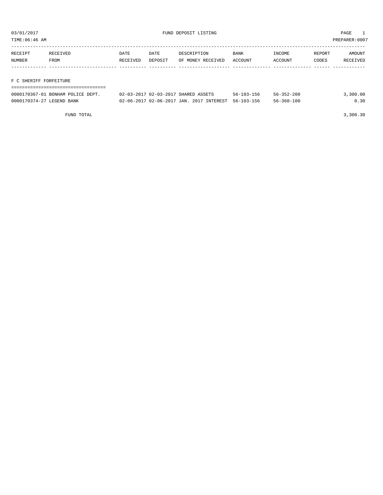TIME:06:46 AM PREPARER:0007

| RECEIPT                | RECEIVED | DATE     | DATE    | DESCRIPTION       | <b>BANK</b> | INCOME  | REPORT | AMOUNT   |
|------------------------|----------|----------|---------|-------------------|-------------|---------|--------|----------|
| NUMBER                 | FROM     | RECEIVED | DEPOSIT | OF MONEY RECEIVED | ACCOUNT     | ACCOUNT | CODES  | RECEIVED |
|                        |          |          |         |                   |             |         |        |          |
|                        |          |          |         |                   |             |         |        |          |
| F C SHERIFF FORFEITURE |          |          |         |                   |             |         |        |          |

## ===================================

| 0000170367-01 BONHAM POLICE DEPT. | 02-03-2017 02-03-2017 SHARED ASSETS                 | $56 - 103 - 156$ | $56 - 352 - 200$ | 3,300.00 |
|-----------------------------------|-----------------------------------------------------|------------------|------------------|----------|
| 0000170374-27 LEGEND BANK         | 02-06-2017 02-06-2017 JAN, 2017 INTEREST 56-103-156 |                  | 56-360-100       | 0.30     |

FUND TOTAL 3,300.30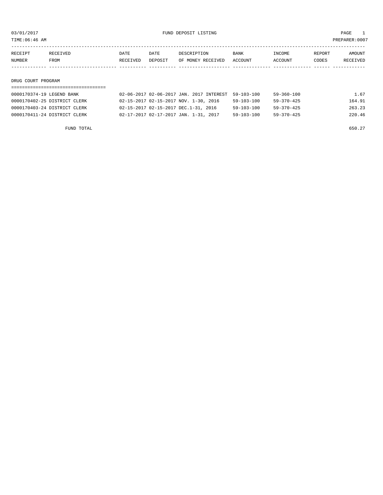TIME:06:46 AM PREPARER:0007

| RECEIPT | <b>RECEIVED</b> | DATE     | DATE    | DESCRIPTION       | <b>BANK</b> | TNCOME. | REPORT | AMOUNT          |
|---------|-----------------|----------|---------|-------------------|-------------|---------|--------|-----------------|
| NUMBER  | FROM            | RECEIVED | DEPOSIT | OF MONEY RECEIVED | ACCOUNT     | ACCOUNT | CODES  | <b>RECEIVED</b> |
|         |                 |          |         |                   |             |         |        |                 |

#### DRUG COURT PROGRAM

## ===================================

|                                       |                  | 59-360-100                                          | 1.67   |
|---------------------------------------|------------------|-----------------------------------------------------|--------|
| 02-15-2017 02-15-2017 NOV. 1-30, 2016 | $59 - 103 - 100$ | 59-370-425                                          | 164.91 |
| 02-15-2017 02-15-2017 DEC.1-31, 2016  | $59 - 103 - 100$ | $59 - 370 - 425$                                    | 263.23 |
| 02-17-2017 02-17-2017 JAN. 1-31, 2017 | $59 - 103 - 100$ | $59 - 370 - 425$                                    | 220.46 |
|                                       |                  | 02-06-2017 02-06-2017 JAN. 2017 INTEREST 59-103-100 |        |

FUND TOTAL  $650.27$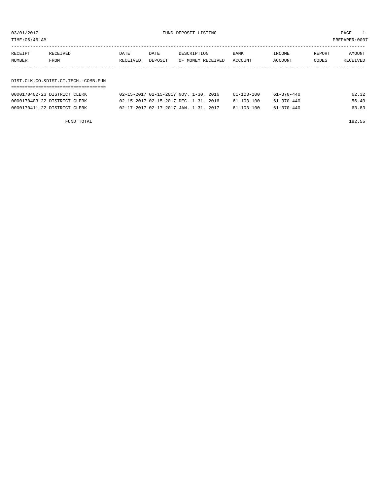03/01/2017 FUND DEPOSIT LISTING PAGE 1

| RECEIPT | RECEIVED | DATE     | DATE    | DESCRIPTION               | BANK | INCOME  | REPORT | <b>AMOUNT</b> |
|---------|----------|----------|---------|---------------------------|------|---------|--------|---------------|
| NUMBER  | FROM     | RECEIVED | DEPOSIT | OF MONEY RECEIVED ACCOUNT |      | ACCOUNT | CODES  | RECEIVED      |
|         |          |          |         |                           |      |         |        |               |
|         |          |          |         |                           |      |         |        |               |

## DIST.CLK.CO.&DIST.CT.TECH.-COMB.FUN ===================================

| 0000170402-23 DISTRICT CLERK | 02-15-2017 02-15-2017 NOV. 1-30, 2016 | 61-103-100 | 61-370-440 | 62.32 |
|------------------------------|---------------------------------------|------------|------------|-------|
| 0000170403-22 DISTRICT CLERK | 02-15-2017 02-15-2017 DEC. 1-31, 2016 | 61-103-100 | 61-370-440 | 56.40 |
| 0000170411-22 DISTRICT CLERK | 02-17-2017 02-17-2017 JAN. 1-31, 2017 | 61-103-100 | 61-370-440 | 63.83 |
|                              |                                       |            |            |       |

FUND TOTAL 182.55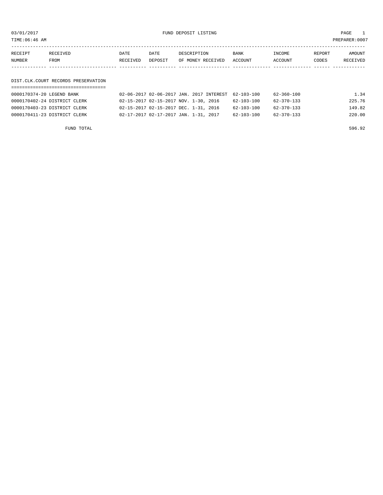03/01/2017 FUND DEPOSIT LISTING PAGE 1

| RECEIPT | <b>RECEIVED</b> | DATE     | DATE    | DESCRIPTION       | <b>BANK</b> | <b>INCOME</b> | REPORT | AMOUNT          |
|---------|-----------------|----------|---------|-------------------|-------------|---------------|--------|-----------------|
| NUMBER  | FROM            | RECEIVED | DEPOSIT | OF MONEY RECEIVED | ACCOUNT     | ACCOUNT       | CODES  | <b>RECEIVED</b> |
|         |                 |          |         |                   |             |               |        |                 |

#### DIST.CLK.COURT RECORDS PRESERVATION ===================================

| 0000170374-20 LEGEND BANK    | 02-06-2017 02-06-2017 JAN. 2017 INTEREST 62-103-100 |                  | 62-360-100 | 1.34   |
|------------------------------|-----------------------------------------------------|------------------|------------|--------|
| 0000170402-24 DISTRICT CLERK | 02-15-2017 02-15-2017 NOV. 1-30, 2016               | 62-103-100       | 62-370-133 | 225.76 |
| 0000170403-23 DISTRICT CLERK | 02-15-2017 02-15-2017 DEC. 1-31, 2016               | 62-103-100       | 62-370-133 | 149.82 |
| 0000170411-23 DISTRICT CLERK | 02-17-2017 02-17-2017 JAN. 1-31, 2017               | $62 - 103 - 100$ | 62-370-133 | 220.00 |
|                              |                                                     |                  |            |        |

FUND TOTAL 596.92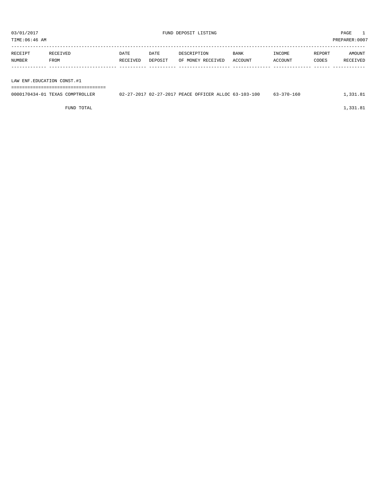${\small \texttt{UND} \texttt{DEPOSTI} \texttt{LISTING} \normalsize \begin{tabular}{lcccc} \texttt{PMS} & \texttt{PMS} & \texttt{PMS} \\ \texttt{PMS} & \texttt{PMS} & \texttt{PMS} & \texttt{PMS} \\ \texttt{PINB} : 06 : 46 \texttt{ AM} & \texttt{PREPARENT:0007} \end{tabular}$ 

PREPARER:0007

| TIME:06:46 AM |  |
|---------------|--|
|               |  |

| RECEIPT | RECEIVED    | DATE     | DATE    | DESCRIPTION       | <b>BANK</b> | INCOME  | REPORT       | AMOUNT   |
|---------|-------------|----------|---------|-------------------|-------------|---------|--------------|----------|
| NUMBER  | <b>FROM</b> | RECEIVED | DEPOSIT | OF MONEY RECEIVED | ACCOUNT     | ACCOUNT | <b>CODES</b> | RECEIVED |
|         |             |          |         |                   |             |         |              |          |

LAW ENF.EDUCATION CONST.#1

===================================

| 0000170434-01 TEXAS COMPTROLLER | 02-27-2017 02-27-2017 PEACE OFFICER ALLOC 63-103-100 |  | $63 - 370 - 160$ | 1,331.81 |
|---------------------------------|------------------------------------------------------|--|------------------|----------|
|                                 |                                                      |  |                  |          |

FUND TOTAL  $1,331.81$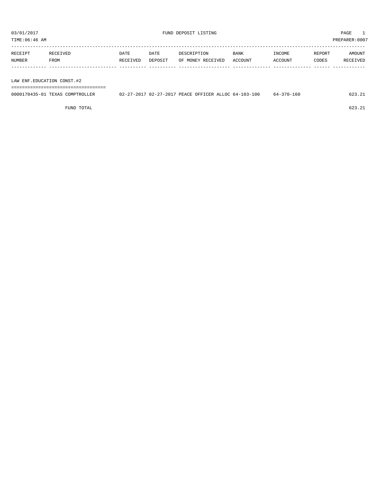TIME:06:46 AM PREPARER:0007

| RECEIPT | RECEIVED | DATE     | DATE    | DESCRIPTION       | <b>BANK</b> | <b>TNCOME</b>  | REPORT | AMOUNT   |
|---------|----------|----------|---------|-------------------|-------------|----------------|--------|----------|
| NUMBER  | FROM     | RECEIVED | DEPOSIT | OF MONEY RECEIVED | ACCOUNT     | <b>ACCOUNT</b> | CODES  | RECEIVED |
|         |          |          |         |                   |             |                |        |          |

LAW ENF.EDUCATION CONST.#2

===================================

| 0000170435-01 TEXAS COMPTROLLER | 02-27-2017 02-27-2017 PEACE OFFICER ALLOC 64-103-100 |  | 64-370-160 |  |
|---------------------------------|------------------------------------------------------|--|------------|--|
|                                 |                                                      |  |            |  |

FUND TOTAL 623.21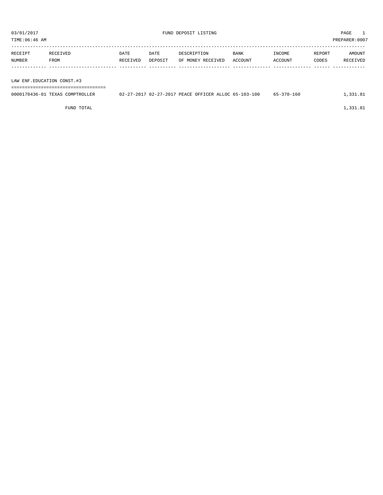${\small \texttt{UND} \texttt{DEPOSTI} \texttt{LISTING} \normalsize \begin{tabular}{lcccc} \texttt{PMS} & \texttt{PMS} & \texttt{PMS} \\ \texttt{PMS} & \texttt{PMS} & \texttt{PMS} & \texttt{PMS} \\ \texttt{PINB} : 06 : 46 \texttt{ AM} & \texttt{PREPARENT:0007} \end{tabular}$ 

PREPARER:0007

| TIME:U6:46 AM |  |  |  |
|---------------|--|--|--|
|               |  |  |  |

| RECEIPT | RECEIVED | DATE     | DATE    | DESCRIPTION       | <b>BANK</b> | INCOME  | REPORT | AMOUNT   |
|---------|----------|----------|---------|-------------------|-------------|---------|--------|----------|
| NUMBER  | FROM     | RECEIVED | DEPOSIT | OF MONEY RECEIVED | ACCOUNT     | ACCOUNT | CODES  | RECEIVED |
|         |          |          |         |                   |             |         |        |          |

LAW ENF.EDUCATION CONST.#3

===================================

| 0000170436-01 TEXAS COMPTROLLER | 02-27-2017 02-27-2017 PEACE OFFICER ALLOC 65-103-100 |  | 65-370-160 | ., 331.81 |
|---------------------------------|------------------------------------------------------|--|------------|-----------|
|                                 |                                                      |  |            |           |

FUND TOTAL  $1,331.81$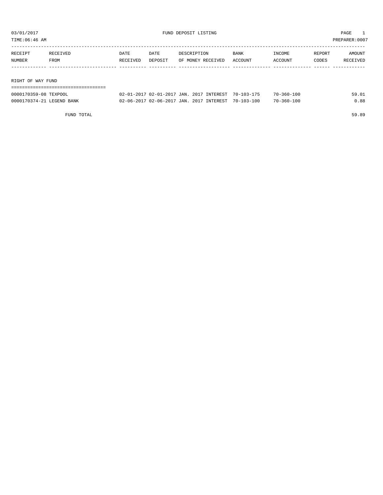TIME:06:46 AM PREPARER:0007

| RECEIPT           | RECEIVED | DATE     | DATE    | DESCRIPTION       | <b>BANK</b> | INCOME  | REPORT | AMOUNT   |  |  |
|-------------------|----------|----------|---------|-------------------|-------------|---------|--------|----------|--|--|
| NUMBER            | FROM     | RECEIVED | DEPOSIT | OF MONEY RECEIVED | ACCOUNT     | ACCOUNT | CODES  | RECEIVED |  |  |
|                   |          |          |         |                   |             |         |        |          |  |  |
|                   |          |          |         |                   |             |         |        |          |  |  |
| RIGHT OF WAY FUND |          |          |         |                   |             |         |        |          |  |  |
|                   |          |          |         |                   |             |         |        |          |  |  |

| 0000170359-08 TEXPOOL     | 02-01-2017 02-01-2017 JAN. 2017 INTEREST 70-103-175 |  | 70-360-100       | 59.01 |
|---------------------------|-----------------------------------------------------|--|------------------|-------|
| 0000170374-21 LEGEND BANK | 02-06-2017 02-06-2017 JAN. 2017 INTEREST 70-103-100 |  | $70 - 360 - 100$ | 0.88  |

FUND TOTAL 59.89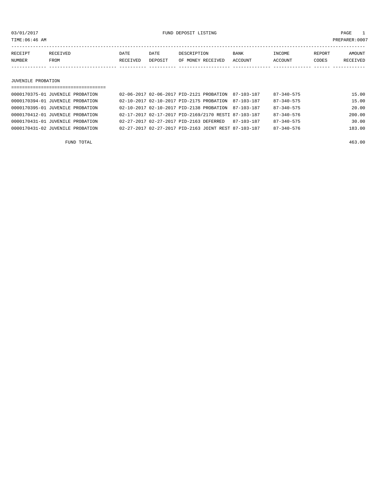03/01/2017 FUND DEPOSIT LISTING PAGE 1

| RECEIPT | <b>RECEIVED</b> | DATE     | DATE    | DESCRIPTION       | <b>BANK</b> | <b>TNCOME</b> | <b>REPORT</b> | AMOUNT          |
|---------|-----------------|----------|---------|-------------------|-------------|---------------|---------------|-----------------|
| NUMBER  | FROM            | RECEIVED | DEPOSIT | OF MONEY RECEIVED | ACCOUNT     | ACCOUNT       | CODES         | <b>RECEIVED</b> |
|         |                 |          |         |                   |             |               |               |                 |

#### JUVENILE PROBATION

| ================================== |                                                      |  |            |                  |        |
|------------------------------------|------------------------------------------------------|--|------------|------------------|--------|
| 0000170375-01 JUVENILE PROBATION   | 02-06-2017 02-06-2017 PID-2121 PROBATION             |  | 87-103-187 | 87-340-575       | 15.00  |
| 0000170394-01 JUVENILE PROBATION   | 02-10-2017 02-10-2017 PTD-2175 PROBATION             |  | 87-103-187 | $87 - 340 - 575$ | 15.00  |
| 0000170395-01 JUVENILE PROBATION   | 02-10-2017 02-10-2017 PID-2138 PROBATION             |  | 87-103-187 | $87 - 340 - 575$ | 20.00  |
| 0000170412-01 JUVENILE PROBATION   | 02-17-2017 02-17-2017 PID-2169/2170 RESTI 87-103-187 |  |            | $87 - 340 - 576$ | 200.00 |
| 0000170431-01 JUVENILE PROBATION   | 02-27-2017 02-27-2017 PID-2163 DEFERRED              |  | 87-103-187 | $87 - 340 - 575$ | 30.00  |
| 0000170431-02 JUVENILE PROBATION   | 02-27-2017 02-27-2017 PID-2163 JOINT REST 87-103-187 |  |            | $87 - 340 - 576$ | 183.00 |
|                                    |                                                      |  |            |                  |        |

FUND TOTAL 463.00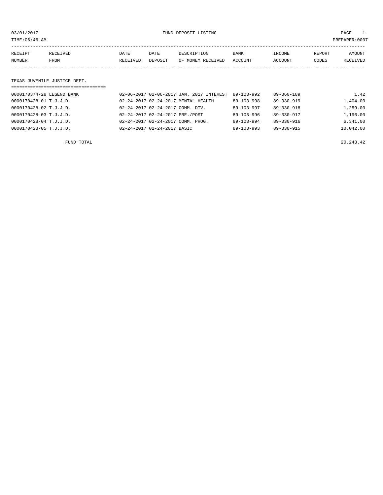03/01/2017 FUND DEPOSIT LISTING PAGE 1

| RECEIPT | <b>RECEIVED</b> | DATE     | DATE    | DESCRIPTION       | <b>BANK</b>    | INCOME         | REPORT | AMOUNT          |
|---------|-----------------|----------|---------|-------------------|----------------|----------------|--------|-----------------|
| NUMBER  | FROM            | RECEIVED | DEPOSIT | OF MONEY RECEIVED | <b>ACCOUNT</b> | <b>ACCOUNT</b> | CODES  | <b>RECEIVED</b> |
|         |                 |          |         |                   |                |                |        |                 |

### TEXAS JUVENILE JUSTICE DEPT.

| =================================== |                                               |                  |                  |           |
|-------------------------------------|-----------------------------------------------|------------------|------------------|-----------|
| 0000170374-28 LEGEND BANK           | 02-06-2017 02-06-2017 JAN. 2017 INTEREST      | 89-103-992       | $89 - 360 - 189$ | 1.42      |
| 0000170428-01 T.J.J.D.              | 02-24-2017 02-24-2017 MENTAL HEALTH           | 89-103-998       | 89-330-919       | 1,404.00  |
| 0000170428-02 T.J.J.D.              | 02-24-2017 02-24-2017 COMM. DIV.              | $89 - 103 - 997$ | $89 - 330 - 918$ | 1,259.00  |
| 0000170428-03 T.J.J.D.              | 02-24-2017 02-24-2017 PRE./POST               | $89 - 103 - 996$ | $89 - 330 - 917$ | 1,196.00  |
| 0000170428-04 T.J.J.D.              | $02 - 24 - 2017$ $02 - 24 - 2017$ COMM. PROG. | $89 - 103 - 994$ | 89-330-916       | 6,341.00  |
| 0000170428-05 T.J.J.D.              | 02-24-2017 02-24-2017 BASIC                   | $89 - 103 - 993$ | $89 - 330 - 915$ | 10,042.00 |
|                                     |                                               |                  |                  |           |

FUND TOTAL  $20,243.42$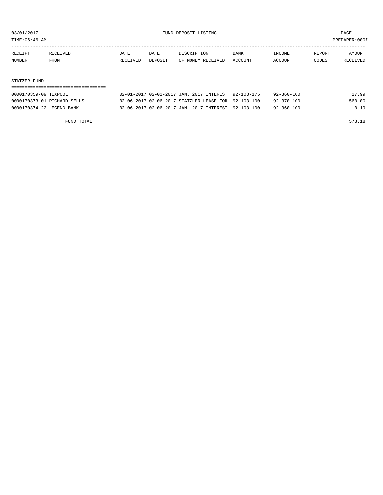TIME:06:46 AM PREPARER:0007

| RECEIPT | RECEIVED    | DATE     | DATE    | DESCRIPTION       | <b>BANK</b> | INCOME         | REPORT | AMOUNT          |
|---------|-------------|----------|---------|-------------------|-------------|----------------|--------|-----------------|
| NUMBER  | <b>FROM</b> | RECEIVED | DEPOSIT | OF MONEY RECEIVED | ACCOUNT     | <b>ACCOUNT</b> | CODES  | <b>RECEIVED</b> |
|         |             |          |         |                   |             |                |        |                 |

#### STATZER FUND

| 0000170359-09 TEXPOOL       | 02-01-2017 02-01-2017 JAN. 2017 INTEREST 92-103-175 | $92 - 360 - 100$<br>17.99  |
|-----------------------------|-----------------------------------------------------|----------------------------|
| 0000170373-01 RICHARD SELLS | 02-06-2017 02-06-2017 STATZLER LEASE FOR 92-103-100 | 560.00<br>$92 - 370 - 100$ |
| 0000170374-22 LEGEND BANK   | 02-06-2017 02-06-2017 JAN. 2017 INTEREST 92-103-100 | $92 - 360 - 100$<br>0.19   |

FUND TOTAL 578.18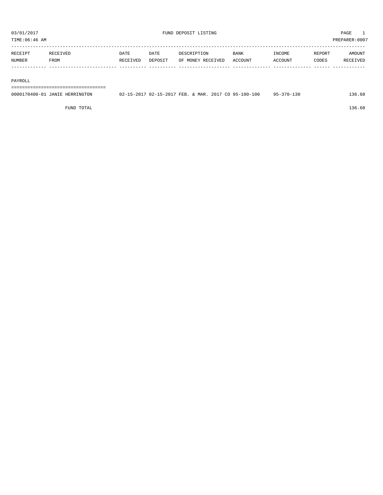| TIME:06:46 AM |          |          |         |                   |                |         |        | PREPARER: 0007 |
|---------------|----------|----------|---------|-------------------|----------------|---------|--------|----------------|
| RECEIPT       | RECEIVED | DATE     | DATE    | DESCRIPTION       | <b>BANK</b>    | INCOME  | REPORT | <b>AMOUNT</b>  |
| <b>NUMBER</b> | FROM     | RECEIVED | DEPOSIT | OF MONEY RECEIVED | <b>ACCOUNT</b> | ACCOUNT | CODES  | RECEIVED       |
|               |          |          |         |                   |                |         |        |                |

#### PAYROLL

===================================

| 0000170400-01 JANIE HERRINGTON | 02-15-2017 02-15-2017 FEB. & MAR. 2017 CO 95-100-100 | $95 - 370 - 130$ | L36.68 |
|--------------------------------|------------------------------------------------------|------------------|--------|
|                                |                                                      |                  |        |

FUND TOTAL 136.68